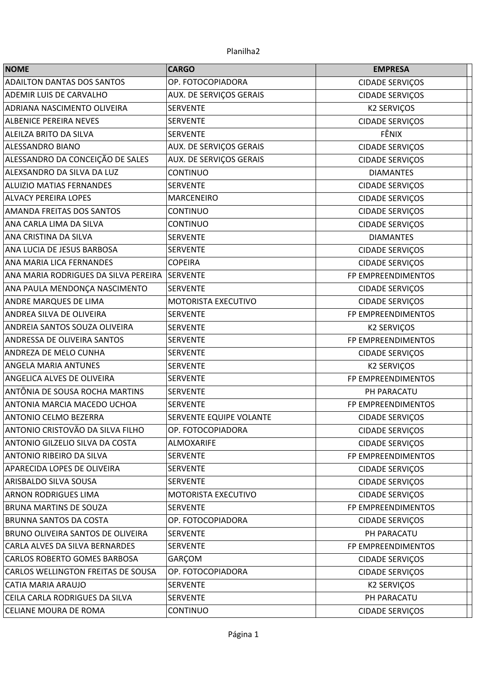| <b>NOME</b>                          | <b>CARGO</b>                   | <b>EMPRESA</b>         |
|--------------------------------------|--------------------------------|------------------------|
| <b>ADAILTON DANTAS DOS SANTOS</b>    | OP. FOTOCOPIADORA              | <b>CIDADE SERVIÇOS</b> |
| <b>ADEMIR LUIS DE CARVALHO</b>       | AUX. DE SERVIÇOS GERAIS        | <b>CIDADE SERVIÇOS</b> |
| ADRIANA NASCIMENTO OLIVEIRA          | <b>SERVENTE</b>                | <b>K2 SERVIÇOS</b>     |
| <b>ALBENICE PEREIRA NEVES</b>        | <b>SERVENTE</b>                | <b>CIDADE SERVIÇOS</b> |
| ALEILZA BRITO DA SILVA               | <b>SERVENTE</b>                | FÊNIX                  |
| ALESSANDRO BIANO                     | AUX. DE SERVIÇOS GERAIS        | <b>CIDADE SERVIÇOS</b> |
| ALESSANDRO DA CONCEIÇÃO DE SALES     | <b>AUX. DE SERVIÇOS GERAIS</b> | <b>CIDADE SERVIÇOS</b> |
| ALEXSANDRO DA SILVA DA LUZ           | <b>CONTINUO</b>                | <b>DIAMANTES</b>       |
| <b>ALUIZIO MATIAS FERNANDES</b>      | <b>SERVENTE</b>                | <b>CIDADE SERVIÇOS</b> |
| <b>ALVACY PEREIRA LOPES</b>          | <b>MARCENEIRO</b>              | <b>CIDADE SERVIÇOS</b> |
| <b>AMANDA FREITAS DOS SANTOS</b>     | <b>CONTINUO</b>                | <b>CIDADE SERVIÇOS</b> |
| ANA CARLA LIMA DA SILVA              | <b>CONTINUO</b>                | <b>CIDADE SERVIÇOS</b> |
| ANA CRISTINA DA SILVA                | <b>SERVENTE</b>                | <b>DIAMANTES</b>       |
| ANA LUCIA DE JESUS BARBOSA           | <b>SERVENTE</b>                | <b>CIDADE SERVIÇOS</b> |
| ANA MARIA LICA FERNANDES             | <b>COPEIRA</b>                 | <b>CIDADE SERVIÇOS</b> |
| ANA MARIA RODRIGUES DA SILVA PEREIRA | SERVENTE                       | FP EMPREENDIMENTOS     |
| ANA PAULA MENDONÇA NASCIMENTO        | <b>SERVENTE</b>                | <b>CIDADE SERVIÇOS</b> |
| ANDRE MARQUES DE LIMA                | MOTORISTA EXECUTIVO            | <b>CIDADE SERVIÇOS</b> |
| ANDREA SILVA DE OLIVEIRA             | <b>SERVENTE</b>                | FP EMPREENDIMENTOS     |
| ANDREIA SANTOS SOUZA OLIVEIRA        | <b>SERVENTE</b>                | <b>K2 SERVIÇOS</b>     |
| ANDRESSA DE OLIVEIRA SANTOS          | <b>SERVENTE</b>                | FP EMPREENDIMENTOS     |
| <b>ANDREZA DE MELO CUNHA</b>         | <b>SERVENTE</b>                | <b>CIDADE SERVIÇOS</b> |
| ANGELA MARIA ANTUNES                 | <b>SERVENTE</b>                | <b>K2 SERVIÇOS</b>     |
| ANGELICA ALVES DE OLIVEIRA           | <b>SERVENTE</b>                | FP EMPREENDIMENTOS     |
| ANTÔNIA DE SOUSA ROCHA MARTINS       | <b>SERVENTE</b>                | PH PARACATU            |
| ANTONIA MARCIA MACEDO UCHOA          | <b>SERVENTE</b>                | FP EMPREENDIMENTOS     |
| <b>ANTONIO CELMO BEZERRA</b>         | SERVENTE EQUIPE VOLANTE        | <b>CIDADE SERVIÇOS</b> |
| ANTONIO CRISTOVÃO DA SILVA FILHO     | OP. FOTOCOPIADORA              | <b>CIDADE SERVIÇOS</b> |
| ANTONIO GILZELIO SILVA DA COSTA      | <b>ALMOXARIFE</b>              | <b>CIDADE SERVIÇOS</b> |
| <b>ANTONIO RIBEIRO DA SILVA</b>      | <b>SERVENTE</b>                | FP EMPREENDIMENTOS     |
| APARECIDA LOPES DE OLIVEIRA          | <b>SERVENTE</b>                | CIDADE SERVIÇOS        |
| ARISBALDO SILVA SOUSA                | <b>SERVENTE</b>                | <b>CIDADE SERVIÇOS</b> |
| <b>ARNON RODRIGUES LIMA</b>          | MOTORISTA EXECUTIVO            | <b>CIDADE SERVIÇOS</b> |
| BRUNA MARTINS DE SOUZA               | <b>SERVENTE</b>                | FP EMPREENDIMENTOS     |
| BRUNNA SANTOS DA COSTA               | OP. FOTOCOPIADORA              | <b>CIDADE SERVIÇOS</b> |
| BRUNO OLIVEIRA SANTOS DE OLIVEIRA    | <b>SERVENTE</b>                | PH PARACATU            |
| CARLA ALVES DA SILVA BERNARDES       | <b>SERVENTE</b>                | FP EMPREENDIMENTOS     |
| CARLOS ROBERTO GOMES BARBOSA         | GARÇOM                         | <b>CIDADE SERVIÇOS</b> |
| CARLOS WELLINGTON FREITAS DE SOUSA   | OP. FOTOCOPIADORA              | <b>CIDADE SERVIÇOS</b> |
| CATIA MARIA ARAUJO                   | <b>SERVENTE</b>                | <b>K2 SERVIÇOS</b>     |
| CEILA CARLA RODRIGUES DA SILVA       | <b>SERVENTE</b>                | PH PARACATU            |
| CELIANE MOURA DE ROMA                | <b>CONTINUO</b>                | <b>CIDADE SERVIÇOS</b> |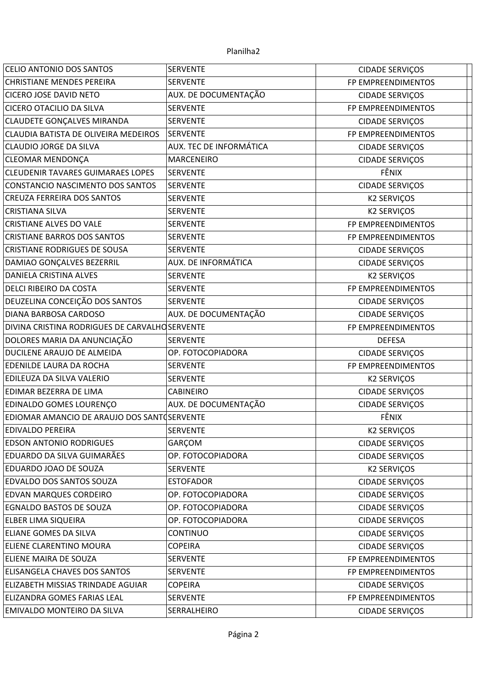| CELIO ANTONIO DOS SANTOS                       | <b>SERVENTE</b>         | <b>CIDADE SERVIÇOS</b> |  |
|------------------------------------------------|-------------------------|------------------------|--|
| <b>CHRISTIANE MENDES PEREIRA</b>               | <b>SERVENTE</b>         | FP EMPREENDIMENTOS     |  |
| <b>CICERO JOSE DAVID NETO</b>                  | AUX. DE DOCUMENTAÇÃO    | <b>CIDADE SERVIÇOS</b> |  |
| <b>CICERO OTACILIO DA SILVA</b>                | <b>SERVENTE</b>         | FP EMPREENDIMENTOS     |  |
| <b>CLAUDETE GONÇALVES MIRANDA</b>              | <b>SERVENTE</b>         | CIDADE SERVIÇOS        |  |
| CLAUDIA BATISTA DE OLIVEIRA MEDEIROS           | SERVENTE                | FP EMPREENDIMENTOS     |  |
| CLAUDIO JORGE DA SILVA                         | AUX. TEC DE INFORMÁTICA | <b>CIDADE SERVIÇOS</b> |  |
| <b>CLEOMAR MENDONÇA</b>                        | <b>MARCENEIRO</b>       | <b>CIDADE SERVIÇOS</b> |  |
| <b>CLEUDENIR TAVARES GUIMARAES LOPES</b>       | <b>SERVENTE</b>         | FÊNIX                  |  |
| CONSTANCIO NASCIMENTO DOS SANTOS               | <b>SERVENTE</b>         | <b>CIDADE SERVIÇOS</b> |  |
| <b>CREUZA FERREIRA DOS SANTOS</b>              | <b>SERVENTE</b>         | <b>K2 SERVIÇOS</b>     |  |
| <b>CRISTIANA SILVA</b>                         | <b>SERVENTE</b>         | <b>K2 SERVIÇOS</b>     |  |
| <b>CRISTIANE ALVES DO VALE</b>                 | <b>SERVENTE</b>         | FP EMPREENDIMENTOS     |  |
| <b>CRISTIANE BARROS DOS SANTOS</b>             | <b>SERVENTE</b>         | FP EMPREENDIMENTOS     |  |
| <b>CRISTIANE RODRIGUES DE SOUSA</b>            | <b>SERVENTE</b>         | <b>CIDADE SERVIÇOS</b> |  |
| DAMIAO GONÇALVES BEZERRIL                      | AUX. DE INFORMÁTICA     | <b>CIDADE SERVIÇOS</b> |  |
| <b>DANIELA CRISTINA ALVES</b>                  | <b>SERVENTE</b>         | <b>K2 SERVIÇOS</b>     |  |
| <b>DELCI RIBEIRO DA COSTA</b>                  | <b>SERVENTE</b>         | FP EMPREENDIMENTOS     |  |
| DEUZELINA CONCEIÇÃO DOS SANTOS                 | <b>SERVENTE</b>         | <b>CIDADE SERVIÇOS</b> |  |
| <b>DIANA BARBOSA CARDOSO</b>                   | AUX. DE DOCUMENTAÇÃO    | <b>CIDADE SERVIÇOS</b> |  |
| DIVINA CRISTINA RODRIGUES DE CARVALHO SERVENTE |                         | FP EMPREENDIMENTOS     |  |
| DOLORES MARIA DA ANUNCIAÇÃO                    | <b>SERVENTE</b>         | <b>DEFESA</b>          |  |
| DUCILENE ARAUJO DE ALMEIDA                     | OP. FOTOCOPIADORA       | <b>CIDADE SERVIÇOS</b> |  |
| EDENILDE LAURA DA ROCHA                        | <b>SERVENTE</b>         | FP EMPREENDIMENTOS     |  |
| EDILEUZA DA SILVA VALERIO                      | <b>SERVENTE</b>         | <b>K2 SERVIÇOS</b>     |  |
| EDIMAR BEZERRA DE LIMA                         | CABINEIRO               | <b>CIDADE SERVIÇOS</b> |  |
| EDINALDO GOMES LOURENÇO                        | AUX. DE DOCUMENTAÇÃO    | <b>CIDADE SERVIÇOS</b> |  |
| EDIOMAR AMANCIO DE ARAUJO DOS SANTOSERVENTE    |                         | FÊNIX                  |  |
| <b>EDIVALDO PEREIRA</b>                        | <b>SERVENTE</b>         | <b>K2 SERVICOS</b>     |  |
| <b>EDSON ANTONIO RODRIGUES</b>                 | GARÇOM                  | <b>CIDADE SERVIÇOS</b> |  |
| EDUARDO DA SILVA GUIMARÃES                     | OP. FOTOCOPIADORA       | <b>CIDADE SERVIÇOS</b> |  |
| EDUARDO JOAO DE SOUZA                          | <b>SERVENTE</b>         | <b>K2 SERVIÇOS</b>     |  |
| EDVALDO DOS SANTOS SOUZA                       | <b>ESTOFADOR</b>        | <b>CIDADE SERVIÇOS</b> |  |
| <b>EDVAN MARQUES CORDEIRO</b>                  | OP. FOTOCOPIADORA       | <b>CIDADE SERVIÇOS</b> |  |
| <b>EGNALDO BASTOS DE SOUZA</b>                 | OP. FOTOCOPIADORA       | <b>CIDADE SERVIÇOS</b> |  |
| ELBER LIMA SIQUEIRA                            | OP. FOTOCOPIADORA       | <b>CIDADE SERVIÇOS</b> |  |
| <b>ELIANE GOMES DA SILVA</b>                   | <b>CONTINUO</b>         | <b>CIDADE SERVIÇOS</b> |  |
| ELIENE CLARENTINO MOURA                        | <b>COPEIRA</b>          | <b>CIDADE SERVIÇOS</b> |  |
| ELIENE MAIRA DE SOUZA                          | <b>SERVENTE</b>         | FP EMPREENDIMENTOS     |  |
| ELISANGELA CHAVES DOS SANTOS                   | <b>SERVENTE</b>         | FP EMPREENDIMENTOS     |  |
| ELIZABETH MISSIAS TRINDADE AGUIAR              | <b>COPEIRA</b>          | <b>CIDADE SERVIÇOS</b> |  |
| ELIZANDRA GOMES FARIAS LEAL                    | <b>SERVENTE</b>         | FP EMPREENDIMENTOS     |  |
| EMIVALDO MONTEIRO DA SILVA                     | SERRALHEIRO             | <b>CIDADE SERVIÇOS</b> |  |
|                                                |                         |                        |  |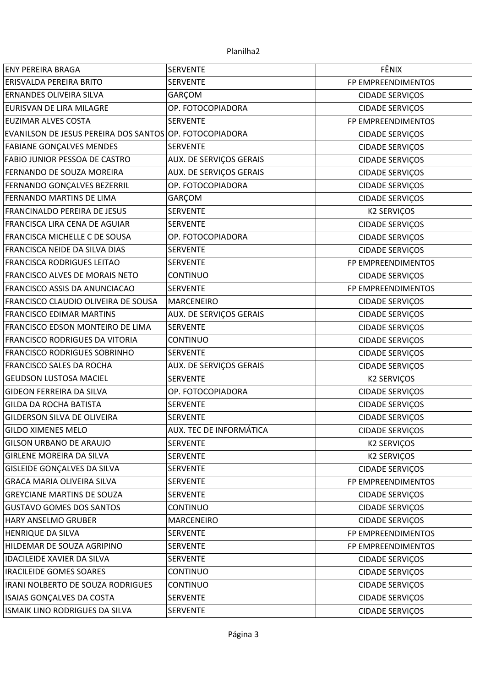| <b>ENY PEREIRA BRAGA</b>                                | <b>SERVENTE</b>                | FÊNIX                  |
|---------------------------------------------------------|--------------------------------|------------------------|
| <b>ERISVALDA PEREIRA BRITO</b>                          | <b>SERVENTE</b>                | FP EMPREENDIMENTOS     |
| ERNANDES OLIVEIRA SILVA                                 | GARÇOM                         | CIDADE SERVIÇOS        |
| <b>EURISVAN DE LIRA MILAGRE</b>                         | OP. FOTOCOPIADORA              | <b>CIDADE SERVIÇOS</b> |
| <b>EUZIMAR ALVES COSTA</b>                              | <b>SERVENTE</b>                | FP EMPREENDIMENTOS     |
| EVANILSON DE JESUS PEREIRA DOS SANTOS OP. FOTOCOPIADORA |                                | <b>CIDADE SERVIÇOS</b> |
| <b>FABIANE GONÇALVES MENDES</b>                         | <b>SERVENTE</b>                | <b>CIDADE SERVIÇOS</b> |
| <b>FABIO JUNIOR PESSOA DE CASTRO</b>                    | <b>AUX. DE SERVIÇOS GERAIS</b> | <b>CIDADE SERVIÇOS</b> |
| FERNANDO DE SOUZA MOREIRA                               | <b>AUX. DE SERVIÇOS GERAIS</b> | <b>CIDADE SERVIÇOS</b> |
| FERNANDO GONÇALVES BEZERRIL                             | OP. FOTOCOPIADORA              | <b>CIDADE SERVIÇOS</b> |
| FERNANDO MARTINS DE LIMA                                | GARÇOM                         | <b>CIDADE SERVIÇOS</b> |
| FRANCINALDO PEREIRA DE JESUS                            | <b>SERVENTE</b>                | <b>K2 SERVIÇOS</b>     |
| <b>FRANCISCA LIRA CENA DE AGUIAR</b>                    | <b>SERVENTE</b>                | <b>CIDADE SERVIÇOS</b> |
| FRANCISCA MICHELLE C DE SOUSA                           | OP. FOTOCOPIADORA              | <b>CIDADE SERVIÇOS</b> |
| FRANCISCA NEIDE DA SILVA DIAS                           | <b>SERVENTE</b>                | <b>CIDADE SERVIÇOS</b> |
| FRANCISCA RODRIGUES LEITAO                              | <b>SERVENTE</b>                | FP EMPREENDIMENTOS     |
| FRANCISCO ALVES DE MORAIS NETO                          | <b>CONTINUO</b>                | <b>CIDADE SERVIÇOS</b> |
| FRANCISCO ASSIS DA ANUNCIACAO                           | <b>SERVENTE</b>                | FP EMPREENDIMENTOS     |
| FRANCISCO CLAUDIO OLIVEIRA DE SOUSA                     | MARCENEIRO                     | CIDADE SERVIÇOS        |
| <b>FRANCISCO EDIMAR MARTINS</b>                         | AUX. DE SERVIÇOS GERAIS        | <b>CIDADE SERVIÇOS</b> |
| FRANCISCO EDSON MONTEIRO DE LIMA                        | <b>SERVENTE</b>                | <b>CIDADE SERVIÇOS</b> |
| FRANCISCO RODRIGUES DA VITORIA                          | <b>CONTINUO</b>                | <b>CIDADE SERVIÇOS</b> |
| <b>FRANCISCO RODRIGUES SOBRINHO</b>                     | <b>SERVENTE</b>                | <b>CIDADE SERVIÇOS</b> |
| FRANCISCO SALES DA ROCHA                                | AUX. DE SERVIÇOS GERAIS        | CIDADE SERVIÇOS        |
| <b>GEUDSON LUSTOSA MACIEL</b>                           | <b>SERVENTE</b>                | <b>K2 SERVIÇOS</b>     |
| GIDEON FERREIRA DA SILVA                                | OP. FOTOCOPIADORA              | <b>CIDADE SERVIÇOS</b> |
| <b>GILDA DA ROCHA BATISTA</b>                           | <b>SERVENTE</b>                | <b>CIDADE SERVIÇOS</b> |
| GILDERSON SILVA DE OLIVEIRA                             | <b>SERVENTE</b>                | <b>CIDADE SERVIÇOS</b> |
| <b>GILDO XIMENES MELO</b>                               | AUX. TEC DE INFORMÁTICA        | <b>CIDADE SERVIÇOS</b> |
| <b>GILSON URBANO DE ARAUJO</b>                          | <b>SERVENTE</b>                | <b>K2 SERVIÇOS</b>     |
| <b>GIRLENE MOREIRA DA SILVA</b>                         | <b>SERVENTE</b>                | <b>K2 SERVIÇOS</b>     |
| <b>GISLEIDE GONÇALVES DA SILVA</b>                      | <b>SERVENTE</b>                | <b>CIDADE SERVIÇOS</b> |
| <b>GRACA MARIA OLIVEIRA SILVA</b>                       | <b>SERVENTE</b>                | FP EMPREENDIMENTOS     |
| <b>GREYCIANE MARTINS DE SOUZA</b>                       | <b>SERVENTE</b>                | CIDADE SERVIÇOS        |
| <b>GUSTAVO GOMES DOS SANTOS</b>                         | <b>CONTINUO</b>                | <b>CIDADE SERVIÇOS</b> |
| HARY ANSELMO GRUBER                                     | <b>MARCENEIRO</b>              | <b>CIDADE SERVIÇOS</b> |
| <b>HENRIQUE DA SILVA</b>                                | <b>SERVENTE</b>                | FP EMPREENDIMENTOS     |
| HILDEMAR DE SOUZA AGRIPINO                              | <b>SERVENTE</b>                | FP EMPREENDIMENTOS     |
| <b>IDACILEIDE XAVIER DA SILVA</b>                       | <b>SERVENTE</b>                | <b>CIDADE SERVIÇOS</b> |
| <b>IRACILEIDE GOMES SOARES</b>                          | <b>CONTINUO</b>                | <b>CIDADE SERVIÇOS</b> |
| IRANI NOLBERTO DE SOUZA RODRIGUES                       | <b>CONTINUO</b>                | <b>CIDADE SERVIÇOS</b> |
| ISAIAS GONÇALVES DA COSTA                               | <b>SERVENTE</b>                | <b>CIDADE SERVIÇOS</b> |
| ISMAIK LINO RODRIGUES DA SILVA                          | <b>SERVENTE</b>                | <b>CIDADE SERVIÇOS</b> |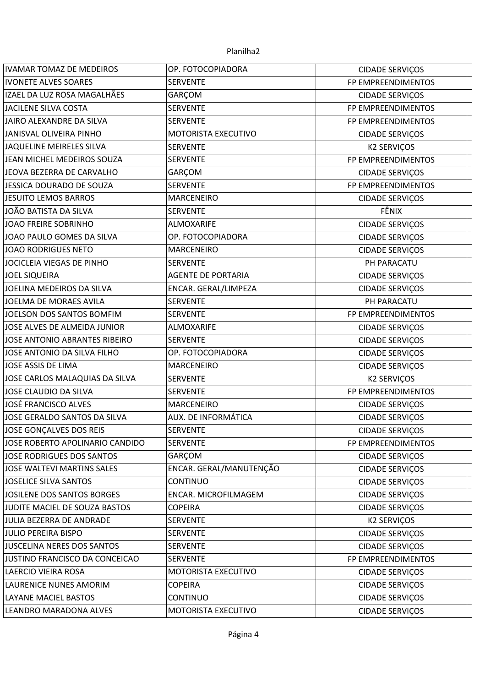| <b>IVAMAR TOMAZ DE MEDEIROS</b><br>OP. FOTOCOPIADORA<br><b>CIDADE SERVIÇOS</b><br><b>IVONETE ALVES SOARES</b><br><b>SERVENTE</b><br>FP EMPREENDIMENTOS<br>IZAEL DA LUZ ROSA MAGALHÃES<br>GARÇOM<br><b>CIDADE SERVIÇOS</b><br><b>SERVENTE</b><br><b>JACILENE SILVA COSTA</b><br>FP EMPREENDIMENTOS<br>JAIRO ALEXANDRE DA SILVA<br><b>SERVENTE</b><br>FP EMPREENDIMENTOS<br>JANISVAL OLIVEIRA PINHO<br>MOTORISTA EXECUTIVO<br>CIDADE SERVIÇOS<br>JAQUELINE MEIRELES SILVA<br><b>SERVENTE</b><br><b>K2 SERVIÇOS</b><br>JEAN MICHEL MEDEIROS SOUZA<br><b>SERVENTE</b><br>FP EMPREENDIMENTOS<br>JEOVA BEZERRA DE CARVALHO<br>GARÇOM<br><b>CIDADE SERVIÇOS</b><br>JESSICA DOURADO DE SOUZA<br><b>SERVENTE</b><br>FP EMPREENDIMENTOS<br><b>JESUITO LEMOS BARROS</b><br><b>MARCENEIRO</b><br>CIDADE SERVIÇOS<br>FÊNIX<br>JOÃO BATISTA DA SILVA<br><b>SERVENTE</b><br><b>JOAO FREIRE SOBRINHO</b><br><b>ALMOXARIFE</b><br>CIDADE SERVIÇOS<br>JOAO PAULO GOMES DA SILVA<br>OP. FOTOCOPIADORA<br><b>CIDADE SERVIÇOS</b><br><b>JOAO RODRIGUES NETO</b><br><b>MARCENEIRO</b><br><b>CIDADE SERVIÇOS</b><br>JOCICLEIA VIEGAS DE PINHO<br><b>SERVENTE</b><br>PH PARACATU<br><b>JOEL SIQUEIRA</b><br><b>AGENTE DE PORTARIA</b><br><b>CIDADE SERVIÇOS</b><br>JOELINA MEDEIROS DA SILVA<br>ENCAR. GERAL/LIMPEZA<br><b>CIDADE SERVIÇOS</b><br>JOELMA DE MORAES AVILA<br><b>SERVENTE</b><br>PH PARACATU<br>JOELSON DOS SANTOS BOMFIM<br><b>SERVENTE</b><br>FP EMPREENDIMENTOS<br>JOSE ALVES DE ALMEIDA JUNIOR<br>ALMOXARIFE<br>CIDADE SERVIÇOS<br><b>JOSE ANTONIO ABRANTES RIBEIRO</b><br><b>SERVENTE</b><br>CIDADE SERVIÇOS<br>JOSE ANTONIO DA SILVA FILHO<br>OP. FOTOCOPIADORA<br><b>CIDADE SERVIÇOS</b><br>JOSE ASSIS DE LIMA<br><b>MARCENEIRO</b><br><b>CIDADE SERVIÇOS</b><br>JOSE CARLOS MALAQUIAS DA SILVA<br><b>K2 SERVIÇOS</b><br><b>SERVENTE</b><br>JOSE CLAUDIO DA SILVA<br>FP EMPREENDIMENTOS<br><b>SERVENTE</b><br><b>JOSÉ FRANCISCO ALVES</b><br>MARCENEIRO<br>CIDADE SERVIÇOS<br><b>AUX. DE INFORMÁTICA</b><br>JOSE GERALDO SANTOS DA SILVA<br><b>CIDADE SERVIÇOS</b><br>JOSE GONCALVES DOS REIS<br><b>SERVENTE</b><br><b>CIDADE SERVIÇOS</b><br>JOSE ROBERTO APOLINARIO CANDIDO<br><b>SERVENTE</b><br>FP EMPREENDIMENTOS<br>JOSE RODRIGUES DOS SANTOS<br>GARÇOM<br><b>CIDADE SERVIÇOS</b><br>ENCAR. GERAL/MANUTENÇÃO<br>JOSE WALTEVI MARTINS SALES<br><b>CIDADE SERVIÇOS</b><br><b>JOSELICE SILVA SANTOS</b><br><b>CONTINUO</b><br><b>CIDADE SERVIÇOS</b><br>JOSILENE DOS SANTOS BORGES<br>ENCAR. MICROFILMAGEM<br><b>CIDADE SERVIÇOS</b><br>JUDITE MACIEL DE SOUZA BASTOS<br><b>COPEIRA</b><br><b>CIDADE SERVIÇOS</b><br><b>K2 SERVIÇOS</b><br>JULIA BEZERRA DE ANDRADE<br><b>SERVENTE</b><br><b>JULIO PEREIRA BISPO</b><br><b>SERVENTE</b><br><b>CIDADE SERVIÇOS</b><br><b>JUSCELINA NERES DOS SANTOS</b><br><b>SERVENTE</b><br><b>CIDADE SERVIÇOS</b><br>JUSTINO FRANCISCO DA CONCEICAO<br><b>SERVENTE</b><br>FP EMPREENDIMENTOS<br>LAERCIO VIEIRA ROSA<br>MOTORISTA EXECUTIVO<br><b>CIDADE SERVIÇOS</b><br>LAURENICE NUNES AMORIM<br><b>COPEIRA</b><br><b>CIDADE SERVIÇOS</b><br>LAYANE MACIEL BASTOS<br><b>CONTINUO</b><br><b>CIDADE SERVIÇOS</b><br>LEANDRO MARADONA ALVES<br>MOTORISTA EXECUTIVO<br><b>CIDADE SERVIÇOS</b> |  |  |
|------------------------------------------------------------------------------------------------------------------------------------------------------------------------------------------------------------------------------------------------------------------------------------------------------------------------------------------------------------------------------------------------------------------------------------------------------------------------------------------------------------------------------------------------------------------------------------------------------------------------------------------------------------------------------------------------------------------------------------------------------------------------------------------------------------------------------------------------------------------------------------------------------------------------------------------------------------------------------------------------------------------------------------------------------------------------------------------------------------------------------------------------------------------------------------------------------------------------------------------------------------------------------------------------------------------------------------------------------------------------------------------------------------------------------------------------------------------------------------------------------------------------------------------------------------------------------------------------------------------------------------------------------------------------------------------------------------------------------------------------------------------------------------------------------------------------------------------------------------------------------------------------------------------------------------------------------------------------------------------------------------------------------------------------------------------------------------------------------------------------------------------------------------------------------------------------------------------------------------------------------------------------------------------------------------------------------------------------------------------------------------------------------------------------------------------------------------------------------------------------------------------------------------------------------------------------------------------------------------------------------------------------------------------------------------------------------------------------------------------------------------------------------------------------------------------------------------------------------------------------------------------------------------------------------------------------------------------------------------------------------------------------------------------------------------------------------------------------------------------------------------------------------------------------------------------------------------------------------|--|--|
|                                                                                                                                                                                                                                                                                                                                                                                                                                                                                                                                                                                                                                                                                                                                                                                                                                                                                                                                                                                                                                                                                                                                                                                                                                                                                                                                                                                                                                                                                                                                                                                                                                                                                                                                                                                                                                                                                                                                                                                                                                                                                                                                                                                                                                                                                                                                                                                                                                                                                                                                                                                                                                                                                                                                                                                                                                                                                                                                                                                                                                                                                                                                                                                                                              |  |  |
|                                                                                                                                                                                                                                                                                                                                                                                                                                                                                                                                                                                                                                                                                                                                                                                                                                                                                                                                                                                                                                                                                                                                                                                                                                                                                                                                                                                                                                                                                                                                                                                                                                                                                                                                                                                                                                                                                                                                                                                                                                                                                                                                                                                                                                                                                                                                                                                                                                                                                                                                                                                                                                                                                                                                                                                                                                                                                                                                                                                                                                                                                                                                                                                                                              |  |  |
|                                                                                                                                                                                                                                                                                                                                                                                                                                                                                                                                                                                                                                                                                                                                                                                                                                                                                                                                                                                                                                                                                                                                                                                                                                                                                                                                                                                                                                                                                                                                                                                                                                                                                                                                                                                                                                                                                                                                                                                                                                                                                                                                                                                                                                                                                                                                                                                                                                                                                                                                                                                                                                                                                                                                                                                                                                                                                                                                                                                                                                                                                                                                                                                                                              |  |  |
|                                                                                                                                                                                                                                                                                                                                                                                                                                                                                                                                                                                                                                                                                                                                                                                                                                                                                                                                                                                                                                                                                                                                                                                                                                                                                                                                                                                                                                                                                                                                                                                                                                                                                                                                                                                                                                                                                                                                                                                                                                                                                                                                                                                                                                                                                                                                                                                                                                                                                                                                                                                                                                                                                                                                                                                                                                                                                                                                                                                                                                                                                                                                                                                                                              |  |  |
|                                                                                                                                                                                                                                                                                                                                                                                                                                                                                                                                                                                                                                                                                                                                                                                                                                                                                                                                                                                                                                                                                                                                                                                                                                                                                                                                                                                                                                                                                                                                                                                                                                                                                                                                                                                                                                                                                                                                                                                                                                                                                                                                                                                                                                                                                                                                                                                                                                                                                                                                                                                                                                                                                                                                                                                                                                                                                                                                                                                                                                                                                                                                                                                                                              |  |  |
|                                                                                                                                                                                                                                                                                                                                                                                                                                                                                                                                                                                                                                                                                                                                                                                                                                                                                                                                                                                                                                                                                                                                                                                                                                                                                                                                                                                                                                                                                                                                                                                                                                                                                                                                                                                                                                                                                                                                                                                                                                                                                                                                                                                                                                                                                                                                                                                                                                                                                                                                                                                                                                                                                                                                                                                                                                                                                                                                                                                                                                                                                                                                                                                                                              |  |  |
|                                                                                                                                                                                                                                                                                                                                                                                                                                                                                                                                                                                                                                                                                                                                                                                                                                                                                                                                                                                                                                                                                                                                                                                                                                                                                                                                                                                                                                                                                                                                                                                                                                                                                                                                                                                                                                                                                                                                                                                                                                                                                                                                                                                                                                                                                                                                                                                                                                                                                                                                                                                                                                                                                                                                                                                                                                                                                                                                                                                                                                                                                                                                                                                                                              |  |  |
|                                                                                                                                                                                                                                                                                                                                                                                                                                                                                                                                                                                                                                                                                                                                                                                                                                                                                                                                                                                                                                                                                                                                                                                                                                                                                                                                                                                                                                                                                                                                                                                                                                                                                                                                                                                                                                                                                                                                                                                                                                                                                                                                                                                                                                                                                                                                                                                                                                                                                                                                                                                                                                                                                                                                                                                                                                                                                                                                                                                                                                                                                                                                                                                                                              |  |  |
|                                                                                                                                                                                                                                                                                                                                                                                                                                                                                                                                                                                                                                                                                                                                                                                                                                                                                                                                                                                                                                                                                                                                                                                                                                                                                                                                                                                                                                                                                                                                                                                                                                                                                                                                                                                                                                                                                                                                                                                                                                                                                                                                                                                                                                                                                                                                                                                                                                                                                                                                                                                                                                                                                                                                                                                                                                                                                                                                                                                                                                                                                                                                                                                                                              |  |  |
|                                                                                                                                                                                                                                                                                                                                                                                                                                                                                                                                                                                                                                                                                                                                                                                                                                                                                                                                                                                                                                                                                                                                                                                                                                                                                                                                                                                                                                                                                                                                                                                                                                                                                                                                                                                                                                                                                                                                                                                                                                                                                                                                                                                                                                                                                                                                                                                                                                                                                                                                                                                                                                                                                                                                                                                                                                                                                                                                                                                                                                                                                                                                                                                                                              |  |  |
|                                                                                                                                                                                                                                                                                                                                                                                                                                                                                                                                                                                                                                                                                                                                                                                                                                                                                                                                                                                                                                                                                                                                                                                                                                                                                                                                                                                                                                                                                                                                                                                                                                                                                                                                                                                                                                                                                                                                                                                                                                                                                                                                                                                                                                                                                                                                                                                                                                                                                                                                                                                                                                                                                                                                                                                                                                                                                                                                                                                                                                                                                                                                                                                                                              |  |  |
|                                                                                                                                                                                                                                                                                                                                                                                                                                                                                                                                                                                                                                                                                                                                                                                                                                                                                                                                                                                                                                                                                                                                                                                                                                                                                                                                                                                                                                                                                                                                                                                                                                                                                                                                                                                                                                                                                                                                                                                                                                                                                                                                                                                                                                                                                                                                                                                                                                                                                                                                                                                                                                                                                                                                                                                                                                                                                                                                                                                                                                                                                                                                                                                                                              |  |  |
|                                                                                                                                                                                                                                                                                                                                                                                                                                                                                                                                                                                                                                                                                                                                                                                                                                                                                                                                                                                                                                                                                                                                                                                                                                                                                                                                                                                                                                                                                                                                                                                                                                                                                                                                                                                                                                                                                                                                                                                                                                                                                                                                                                                                                                                                                                                                                                                                                                                                                                                                                                                                                                                                                                                                                                                                                                                                                                                                                                                                                                                                                                                                                                                                                              |  |  |
|                                                                                                                                                                                                                                                                                                                                                                                                                                                                                                                                                                                                                                                                                                                                                                                                                                                                                                                                                                                                                                                                                                                                                                                                                                                                                                                                                                                                                                                                                                                                                                                                                                                                                                                                                                                                                                                                                                                                                                                                                                                                                                                                                                                                                                                                                                                                                                                                                                                                                                                                                                                                                                                                                                                                                                                                                                                                                                                                                                                                                                                                                                                                                                                                                              |  |  |
|                                                                                                                                                                                                                                                                                                                                                                                                                                                                                                                                                                                                                                                                                                                                                                                                                                                                                                                                                                                                                                                                                                                                                                                                                                                                                                                                                                                                                                                                                                                                                                                                                                                                                                                                                                                                                                                                                                                                                                                                                                                                                                                                                                                                                                                                                                                                                                                                                                                                                                                                                                                                                                                                                                                                                                                                                                                                                                                                                                                                                                                                                                                                                                                                                              |  |  |
|                                                                                                                                                                                                                                                                                                                                                                                                                                                                                                                                                                                                                                                                                                                                                                                                                                                                                                                                                                                                                                                                                                                                                                                                                                                                                                                                                                                                                                                                                                                                                                                                                                                                                                                                                                                                                                                                                                                                                                                                                                                                                                                                                                                                                                                                                                                                                                                                                                                                                                                                                                                                                                                                                                                                                                                                                                                                                                                                                                                                                                                                                                                                                                                                                              |  |  |
|                                                                                                                                                                                                                                                                                                                                                                                                                                                                                                                                                                                                                                                                                                                                                                                                                                                                                                                                                                                                                                                                                                                                                                                                                                                                                                                                                                                                                                                                                                                                                                                                                                                                                                                                                                                                                                                                                                                                                                                                                                                                                                                                                                                                                                                                                                                                                                                                                                                                                                                                                                                                                                                                                                                                                                                                                                                                                                                                                                                                                                                                                                                                                                                                                              |  |  |
|                                                                                                                                                                                                                                                                                                                                                                                                                                                                                                                                                                                                                                                                                                                                                                                                                                                                                                                                                                                                                                                                                                                                                                                                                                                                                                                                                                                                                                                                                                                                                                                                                                                                                                                                                                                                                                                                                                                                                                                                                                                                                                                                                                                                                                                                                                                                                                                                                                                                                                                                                                                                                                                                                                                                                                                                                                                                                                                                                                                                                                                                                                                                                                                                                              |  |  |
|                                                                                                                                                                                                                                                                                                                                                                                                                                                                                                                                                                                                                                                                                                                                                                                                                                                                                                                                                                                                                                                                                                                                                                                                                                                                                                                                                                                                                                                                                                                                                                                                                                                                                                                                                                                                                                                                                                                                                                                                                                                                                                                                                                                                                                                                                                                                                                                                                                                                                                                                                                                                                                                                                                                                                                                                                                                                                                                                                                                                                                                                                                                                                                                                                              |  |  |
|                                                                                                                                                                                                                                                                                                                                                                                                                                                                                                                                                                                                                                                                                                                                                                                                                                                                                                                                                                                                                                                                                                                                                                                                                                                                                                                                                                                                                                                                                                                                                                                                                                                                                                                                                                                                                                                                                                                                                                                                                                                                                                                                                                                                                                                                                                                                                                                                                                                                                                                                                                                                                                                                                                                                                                                                                                                                                                                                                                                                                                                                                                                                                                                                                              |  |  |
|                                                                                                                                                                                                                                                                                                                                                                                                                                                                                                                                                                                                                                                                                                                                                                                                                                                                                                                                                                                                                                                                                                                                                                                                                                                                                                                                                                                                                                                                                                                                                                                                                                                                                                                                                                                                                                                                                                                                                                                                                                                                                                                                                                                                                                                                                                                                                                                                                                                                                                                                                                                                                                                                                                                                                                                                                                                                                                                                                                                                                                                                                                                                                                                                                              |  |  |
|                                                                                                                                                                                                                                                                                                                                                                                                                                                                                                                                                                                                                                                                                                                                                                                                                                                                                                                                                                                                                                                                                                                                                                                                                                                                                                                                                                                                                                                                                                                                                                                                                                                                                                                                                                                                                                                                                                                                                                                                                                                                                                                                                                                                                                                                                                                                                                                                                                                                                                                                                                                                                                                                                                                                                                                                                                                                                                                                                                                                                                                                                                                                                                                                                              |  |  |
|                                                                                                                                                                                                                                                                                                                                                                                                                                                                                                                                                                                                                                                                                                                                                                                                                                                                                                                                                                                                                                                                                                                                                                                                                                                                                                                                                                                                                                                                                                                                                                                                                                                                                                                                                                                                                                                                                                                                                                                                                                                                                                                                                                                                                                                                                                                                                                                                                                                                                                                                                                                                                                                                                                                                                                                                                                                                                                                                                                                                                                                                                                                                                                                                                              |  |  |
|                                                                                                                                                                                                                                                                                                                                                                                                                                                                                                                                                                                                                                                                                                                                                                                                                                                                                                                                                                                                                                                                                                                                                                                                                                                                                                                                                                                                                                                                                                                                                                                                                                                                                                                                                                                                                                                                                                                                                                                                                                                                                                                                                                                                                                                                                                                                                                                                                                                                                                                                                                                                                                                                                                                                                                                                                                                                                                                                                                                                                                                                                                                                                                                                                              |  |  |
|                                                                                                                                                                                                                                                                                                                                                                                                                                                                                                                                                                                                                                                                                                                                                                                                                                                                                                                                                                                                                                                                                                                                                                                                                                                                                                                                                                                                                                                                                                                                                                                                                                                                                                                                                                                                                                                                                                                                                                                                                                                                                                                                                                                                                                                                                                                                                                                                                                                                                                                                                                                                                                                                                                                                                                                                                                                                                                                                                                                                                                                                                                                                                                                                                              |  |  |
|                                                                                                                                                                                                                                                                                                                                                                                                                                                                                                                                                                                                                                                                                                                                                                                                                                                                                                                                                                                                                                                                                                                                                                                                                                                                                                                                                                                                                                                                                                                                                                                                                                                                                                                                                                                                                                                                                                                                                                                                                                                                                                                                                                                                                                                                                                                                                                                                                                                                                                                                                                                                                                                                                                                                                                                                                                                                                                                                                                                                                                                                                                                                                                                                                              |  |  |
|                                                                                                                                                                                                                                                                                                                                                                                                                                                                                                                                                                                                                                                                                                                                                                                                                                                                                                                                                                                                                                                                                                                                                                                                                                                                                                                                                                                                                                                                                                                                                                                                                                                                                                                                                                                                                                                                                                                                                                                                                                                                                                                                                                                                                                                                                                                                                                                                                                                                                                                                                                                                                                                                                                                                                                                                                                                                                                                                                                                                                                                                                                                                                                                                                              |  |  |
|                                                                                                                                                                                                                                                                                                                                                                                                                                                                                                                                                                                                                                                                                                                                                                                                                                                                                                                                                                                                                                                                                                                                                                                                                                                                                                                                                                                                                                                                                                                                                                                                                                                                                                                                                                                                                                                                                                                                                                                                                                                                                                                                                                                                                                                                                                                                                                                                                                                                                                                                                                                                                                                                                                                                                                                                                                                                                                                                                                                                                                                                                                                                                                                                                              |  |  |
|                                                                                                                                                                                                                                                                                                                                                                                                                                                                                                                                                                                                                                                                                                                                                                                                                                                                                                                                                                                                                                                                                                                                                                                                                                                                                                                                                                                                                                                                                                                                                                                                                                                                                                                                                                                                                                                                                                                                                                                                                                                                                                                                                                                                                                                                                                                                                                                                                                                                                                                                                                                                                                                                                                                                                                                                                                                                                                                                                                                                                                                                                                                                                                                                                              |  |  |
|                                                                                                                                                                                                                                                                                                                                                                                                                                                                                                                                                                                                                                                                                                                                                                                                                                                                                                                                                                                                                                                                                                                                                                                                                                                                                                                                                                                                                                                                                                                                                                                                                                                                                                                                                                                                                                                                                                                                                                                                                                                                                                                                                                                                                                                                                                                                                                                                                                                                                                                                                                                                                                                                                                                                                                                                                                                                                                                                                                                                                                                                                                                                                                                                                              |  |  |
|                                                                                                                                                                                                                                                                                                                                                                                                                                                                                                                                                                                                                                                                                                                                                                                                                                                                                                                                                                                                                                                                                                                                                                                                                                                                                                                                                                                                                                                                                                                                                                                                                                                                                                                                                                                                                                                                                                                                                                                                                                                                                                                                                                                                                                                                                                                                                                                                                                                                                                                                                                                                                                                                                                                                                                                                                                                                                                                                                                                                                                                                                                                                                                                                                              |  |  |
|                                                                                                                                                                                                                                                                                                                                                                                                                                                                                                                                                                                                                                                                                                                                                                                                                                                                                                                                                                                                                                                                                                                                                                                                                                                                                                                                                                                                                                                                                                                                                                                                                                                                                                                                                                                                                                                                                                                                                                                                                                                                                                                                                                                                                                                                                                                                                                                                                                                                                                                                                                                                                                                                                                                                                                                                                                                                                                                                                                                                                                                                                                                                                                                                                              |  |  |
|                                                                                                                                                                                                                                                                                                                                                                                                                                                                                                                                                                                                                                                                                                                                                                                                                                                                                                                                                                                                                                                                                                                                                                                                                                                                                                                                                                                                                                                                                                                                                                                                                                                                                                                                                                                                                                                                                                                                                                                                                                                                                                                                                                                                                                                                                                                                                                                                                                                                                                                                                                                                                                                                                                                                                                                                                                                                                                                                                                                                                                                                                                                                                                                                                              |  |  |
|                                                                                                                                                                                                                                                                                                                                                                                                                                                                                                                                                                                                                                                                                                                                                                                                                                                                                                                                                                                                                                                                                                                                                                                                                                                                                                                                                                                                                                                                                                                                                                                                                                                                                                                                                                                                                                                                                                                                                                                                                                                                                                                                                                                                                                                                                                                                                                                                                                                                                                                                                                                                                                                                                                                                                                                                                                                                                                                                                                                                                                                                                                                                                                                                                              |  |  |
|                                                                                                                                                                                                                                                                                                                                                                                                                                                                                                                                                                                                                                                                                                                                                                                                                                                                                                                                                                                                                                                                                                                                                                                                                                                                                                                                                                                                                                                                                                                                                                                                                                                                                                                                                                                                                                                                                                                                                                                                                                                                                                                                                                                                                                                                                                                                                                                                                                                                                                                                                                                                                                                                                                                                                                                                                                                                                                                                                                                                                                                                                                                                                                                                                              |  |  |
|                                                                                                                                                                                                                                                                                                                                                                                                                                                                                                                                                                                                                                                                                                                                                                                                                                                                                                                                                                                                                                                                                                                                                                                                                                                                                                                                                                                                                                                                                                                                                                                                                                                                                                                                                                                                                                                                                                                                                                                                                                                                                                                                                                                                                                                                                                                                                                                                                                                                                                                                                                                                                                                                                                                                                                                                                                                                                                                                                                                                                                                                                                                                                                                                                              |  |  |
|                                                                                                                                                                                                                                                                                                                                                                                                                                                                                                                                                                                                                                                                                                                                                                                                                                                                                                                                                                                                                                                                                                                                                                                                                                                                                                                                                                                                                                                                                                                                                                                                                                                                                                                                                                                                                                                                                                                                                                                                                                                                                                                                                                                                                                                                                                                                                                                                                                                                                                                                                                                                                                                                                                                                                                                                                                                                                                                                                                                                                                                                                                                                                                                                                              |  |  |
|                                                                                                                                                                                                                                                                                                                                                                                                                                                                                                                                                                                                                                                                                                                                                                                                                                                                                                                                                                                                                                                                                                                                                                                                                                                                                                                                                                                                                                                                                                                                                                                                                                                                                                                                                                                                                                                                                                                                                                                                                                                                                                                                                                                                                                                                                                                                                                                                                                                                                                                                                                                                                                                                                                                                                                                                                                                                                                                                                                                                                                                                                                                                                                                                                              |  |  |
|                                                                                                                                                                                                                                                                                                                                                                                                                                                                                                                                                                                                                                                                                                                                                                                                                                                                                                                                                                                                                                                                                                                                                                                                                                                                                                                                                                                                                                                                                                                                                                                                                                                                                                                                                                                                                                                                                                                                                                                                                                                                                                                                                                                                                                                                                                                                                                                                                                                                                                                                                                                                                                                                                                                                                                                                                                                                                                                                                                                                                                                                                                                                                                                                                              |  |  |
|                                                                                                                                                                                                                                                                                                                                                                                                                                                                                                                                                                                                                                                                                                                                                                                                                                                                                                                                                                                                                                                                                                                                                                                                                                                                                                                                                                                                                                                                                                                                                                                                                                                                                                                                                                                                                                                                                                                                                                                                                                                                                                                                                                                                                                                                                                                                                                                                                                                                                                                                                                                                                                                                                                                                                                                                                                                                                                                                                                                                                                                                                                                                                                                                                              |  |  |
|                                                                                                                                                                                                                                                                                                                                                                                                                                                                                                                                                                                                                                                                                                                                                                                                                                                                                                                                                                                                                                                                                                                                                                                                                                                                                                                                                                                                                                                                                                                                                                                                                                                                                                                                                                                                                                                                                                                                                                                                                                                                                                                                                                                                                                                                                                                                                                                                                                                                                                                                                                                                                                                                                                                                                                                                                                                                                                                                                                                                                                                                                                                                                                                                                              |  |  |
|                                                                                                                                                                                                                                                                                                                                                                                                                                                                                                                                                                                                                                                                                                                                                                                                                                                                                                                                                                                                                                                                                                                                                                                                                                                                                                                                                                                                                                                                                                                                                                                                                                                                                                                                                                                                                                                                                                                                                                                                                                                                                                                                                                                                                                                                                                                                                                                                                                                                                                                                                                                                                                                                                                                                                                                                                                                                                                                                                                                                                                                                                                                                                                                                                              |  |  |
|                                                                                                                                                                                                                                                                                                                                                                                                                                                                                                                                                                                                                                                                                                                                                                                                                                                                                                                                                                                                                                                                                                                                                                                                                                                                                                                                                                                                                                                                                                                                                                                                                                                                                                                                                                                                                                                                                                                                                                                                                                                                                                                                                                                                                                                                                                                                                                                                                                                                                                                                                                                                                                                                                                                                                                                                                                                                                                                                                                                                                                                                                                                                                                                                                              |  |  |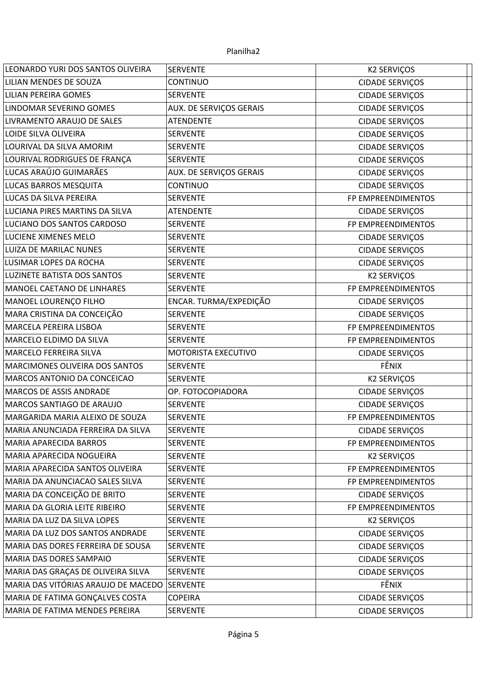| LEONARDO YURI DOS SANTOS OLIVEIRA   | <b>SERVENTE</b>                | <b>K2 SERVIÇOS</b>     |
|-------------------------------------|--------------------------------|------------------------|
| LILIAN MENDES DE SOUZA              | <b>CONTINUO</b>                | <b>CIDADE SERVIÇOS</b> |
| LILIAN PEREIRA GOMES                | <b>SERVENTE</b>                | CIDADE SERVIÇOS        |
| LINDOMAR SEVERINO GOMES             | AUX. DE SERVIÇOS GERAIS        | <b>CIDADE SERVIÇOS</b> |
| LIVRAMENTO ARAUJO DE SALES          | <b>ATENDENTE</b>               | <b>CIDADE SERVIÇOS</b> |
| LOIDE SILVA OLIVEIRA                | <b>SERVENTE</b>                | <b>CIDADE SERVIÇOS</b> |
| LOURIVAL DA SILVA AMORIM            | <b>SERVENTE</b>                | <b>CIDADE SERVIÇOS</b> |
| LOURIVAL RODRIGUES DE FRANÇA        | <b>SERVENTE</b>                | <b>CIDADE SERVIÇOS</b> |
| LUCAS ARAÚJO GUIMARÃES              | <b>AUX. DE SERVIÇOS GERAIS</b> | <b>CIDADE SERVIÇOS</b> |
| LUCAS BARROS MESQUITA               | CONTINUO                       | <b>CIDADE SERVIÇOS</b> |
| LUCAS DA SILVA PEREIRA              | <b>SERVENTE</b>                | FP EMPREENDIMENTOS     |
| LUCIANA PIRES MARTINS DA SILVA      | <b>ATENDENTE</b>               | <b>CIDADE SERVIÇOS</b> |
| LUCIANO DOS SANTOS CARDOSO          | <b>SERVENTE</b>                | FP EMPREENDIMENTOS     |
| LUCIENE XIMENES MELO                | <b>SERVENTE</b>                | CIDADE SERVIÇOS        |
| LUIZA DE MARILAC NUNES              | <b>SERVENTE</b>                | <b>CIDADE SERVIÇOS</b> |
| LUSIMAR LOPES DA ROCHA              | <b>SERVENTE</b>                | <b>CIDADE SERVIÇOS</b> |
| LUZINETE BATISTA DOS SANTOS         | <b>SERVENTE</b>                | <b>K2 SERVIÇOS</b>     |
| MANOEL CAETANO DE LINHARES          | <b>SERVENTE</b>                | FP EMPREENDIMENTOS     |
| MANOEL LOURENÇO FILHO               | ENCAR. TURMA/EXPEDIÇÃO         | <b>CIDADE SERVIÇOS</b> |
| MARA CRISTINA DA CONCEIÇÃO          | <b>SERVENTE</b>                | <b>CIDADE SERVIÇOS</b> |
| MARCELA PEREIRA LISBOA              | <b>SERVENTE</b>                | FP EMPREENDIMENTOS     |
| MARCELO ELDIMO DA SILVA             | <b>SERVENTE</b>                | FP EMPREENDIMENTOS     |
| MARCELO FERREIRA SILVA              | MOTORISTA EXECUTIVO            | <b>CIDADE SERVIÇOS</b> |
| MARCIMONES OLIVEIRA DOS SANTOS      | <b>SERVENTE</b>                | FÊNIX                  |
| MARCOS ANTONIO DA CONCEICAO         | <b>SERVENTE</b>                | <b>K2 SERVIÇOS</b>     |
| <b>MARCOS DE ASSIS ANDRADE</b>      | OP. FOTOCOPIADORA              | <b>CIDADE SERVIÇOS</b> |
| MARCOS SANTIAGO DE ARAUJO           | <b>SERVENTE</b>                | <b>CIDADE SERVIÇOS</b> |
| MARGARIDA MARIA ALEIXO DE SOUZA     | <b>SERVENTE</b>                | FP EMPREENDIMENTOS     |
| MARIA ANUNCIADA FERREIRA DA SILVA   | <b>SERVENTE</b>                | <b>CIDADE SERVIÇOS</b> |
| MARIA APARECIDA BARROS              | <b>SERVENTE</b>                | FP EMPREENDIMENTOS     |
| MARIA APARECIDA NOGUEIRA            | <b>SERVENTE</b>                | <b>K2 SERVIÇOS</b>     |
| MARIA APARECIDA SANTOS OLIVEIRA     | <b>SERVENTE</b>                | FP EMPREENDIMENTOS     |
| MARIA DA ANUNCIACAO SALES SILVA     | <b>SERVENTE</b>                | FP EMPREENDIMENTOS     |
| MARIA DA CONCEIÇÃO DE BRITO         | <b>SERVENTE</b>                | <b>CIDADE SERVIÇOS</b> |
| MARIA DA GLORIA LEITE RIBEIRO       | <b>SERVENTE</b>                | FP EMPREENDIMENTOS     |
| MARIA DA LUZ DA SILVA LOPES         | <b>SERVENTE</b>                | <b>K2 SERVIÇOS</b>     |
| MARIA DA LUZ DOS SANTOS ANDRADE     | <b>SERVENTE</b>                | <b>CIDADE SERVIÇOS</b> |
| MARIA DAS DORES FERREIRA DE SOUSA   | <b>SERVENTE</b>                | <b>CIDADE SERVIÇOS</b> |
| MARIA DAS DORES SAMPAIO             | <b>SERVENTE</b>                | <b>CIDADE SERVIÇOS</b> |
| MARIA DAS GRAÇAS DE OLIVEIRA SILVA  | <b>SERVENTE</b>                | <b>CIDADE SERVIÇOS</b> |
| MARIA DAS VITÓRIAS ARAUJO DE MACEDO | <b>SERVENTE</b>                | FÊNIX                  |
| MARIA DE FATIMA GONÇALVES COSTA     | <b>COPEIRA</b>                 | CIDADE SERVIÇOS        |
| MARIA DE FATIMA MENDES PEREIRA      | SERVENTE                       | <b>CIDADE SERVIÇOS</b> |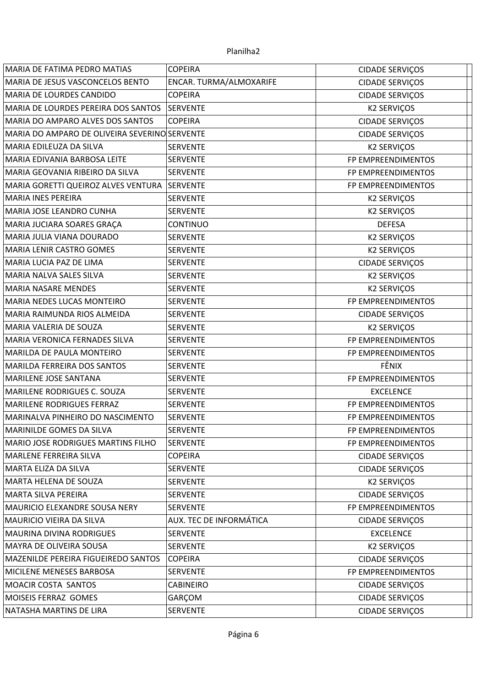| MARIA DE FATIMA PEDRO MATIAS                  | <b>COPEIRA</b>          | <b>CIDADE SERVIÇOS</b> |  |
|-----------------------------------------------|-------------------------|------------------------|--|
| MARIA DE JESUS VASCONCELOS BENTO              | ENCAR. TURMA/ALMOXARIFE | <b>CIDADE SERVIÇOS</b> |  |
| MARIA DE LOURDES CANDIDO                      | <b>COPEIRA</b>          | CIDADE SERVIÇOS        |  |
| MARIA DE LOURDES PEREIRA DOS SANTOS           | <b>SERVENTE</b>         | <b>K2 SERVIÇOS</b>     |  |
| MARIA DO AMPARO ALVES DOS SANTOS              | <b>COPEIRA</b>          | <b>CIDADE SERVIÇOS</b> |  |
| MARIA DO AMPARO DE OLIVEIRA SEVERINO SERVENTE |                         | CIDADE SERVIÇOS        |  |
| MARIA EDILEUZA DA SILVA                       | <b>SERVENTE</b>         | <b>K2 SERVIÇOS</b>     |  |
| MARIA EDIVANIA BARBOSA LEITE                  | <b>SERVENTE</b>         | FP EMPREENDIMENTOS     |  |
| MARIA GEOVANIA RIBEIRO DA SILVA               | <b>SERVENTE</b>         | FP EMPREENDIMENTOS     |  |
| MARIA GORETTI QUEIROZ ALVES VENTURA           | SERVENTE                | FP EMPREENDIMENTOS     |  |
| <b>MARIA INES PEREIRA</b>                     | <b>SERVENTE</b>         | <b>K2 SERVIÇOS</b>     |  |
| MARIA JOSE LEANDRO CUNHA                      | <b>SERVENTE</b>         | <b>K2 SERVIÇOS</b>     |  |
| MARIA JUCIARA SOARES GRAÇA                    | <b>CONTINUO</b>         | <b>DEFESA</b>          |  |
| MARIA JULIA VIANA DOURADO                     | <b>SERVENTE</b>         | <b>K2 SERVIÇOS</b>     |  |
| MARIA LENIR CASTRO GOMES                      | <b>SERVENTE</b>         | <b>K2 SERVIÇOS</b>     |  |
| MARIA LUCIA PAZ DE LIMA                       | <b>SERVENTE</b>         | <b>CIDADE SERVIÇOS</b> |  |
| MARIA NALVA SALES SILVA                       | <b>SERVENTE</b>         | <b>K2 SERVIÇOS</b>     |  |
| <b>MARIA NASARE MENDES</b>                    | <b>SERVENTE</b>         | <b>K2 SERVIÇOS</b>     |  |
| <b>MARIA NEDES LUCAS MONTEIRO</b>             | <b>SERVENTE</b>         | FP EMPREENDIMENTOS     |  |
| MARIA RAIMUNDA RIOS ALMEIDA                   | <b>SERVENTE</b>         | CIDADE SERVIÇOS        |  |
| MARIA VALERIA DE SOUZA                        | <b>SERVENTE</b>         | <b>K2 SERVIÇOS</b>     |  |
| MARIA VERONICA FERNADES SILVA                 | <b>SERVENTE</b>         | FP EMPREENDIMENTOS     |  |
| MARILDA DE PAULA MONTEIRO                     | <b>SERVENTE</b>         | FP EMPREENDIMENTOS     |  |
| MARILDA FERREIRA DOS SANTOS                   | <b>SERVENTE</b>         | FÊNIX                  |  |
| MARILENE JOSE SANTANA                         | <b>SERVENTE</b>         | FP EMPREENDIMENTOS     |  |
| MARILENE RODRIGUES C. SOUZA                   | <b>SERVENTE</b>         | <b>EXCELENCE</b>       |  |
| MARILENE RODRIGUES FERRAZ                     | <b>SERVENTE</b>         | FP EMPREENDIMENTOS     |  |
| MARINALVA PINHEIRO DO NASCIMENTO              | <b>SERVENTE</b>         | FP EMPREENDIMENTOS     |  |
| MARINILDE GOMES DA SILVA                      | <b>SERVENTE</b>         | FP EMPREENDIMENTOS     |  |
| MARIO JOSE RODRIGUES MARTINS FILHO            | <b>SERVENTE</b>         | FP EMPREENDIMENTOS     |  |
| MARLENE FERREIRA SILVA                        | <b>COPEIRA</b>          | <b>CIDADE SERVIÇOS</b> |  |
| MARTA ELIZA DA SILVA                          | <b>SERVENTE</b>         | <b>CIDADE SERVIÇOS</b> |  |
| MARTA HELENA DE SOUZA                         | <b>SERVENTE</b>         | <b>K2 SERVIÇOS</b>     |  |
| MARTA SILVA PEREIRA                           | <b>SERVENTE</b>         | <b>CIDADE SERVIÇOS</b> |  |
| MAURICIO ELEXANDRE SOUSA NERY                 | <b>SERVENTE</b>         | FP EMPREENDIMENTOS     |  |
| MAURICIO VIEIRA DA SILVA                      | AUX. TEC DE INFORMÁTICA | <b>CIDADE SERVIÇOS</b> |  |
| <b>MAURINA DIVINA RODRIGUES</b>               | <b>SERVENTE</b>         | <b>EXCELENCE</b>       |  |
| MAYRA DE OLIVEIRA SOUSA                       | <b>SERVENTE</b>         | <b>K2 SERVIÇOS</b>     |  |
| MAZENILDE PEREIRA FIGUEIREDO SANTOS           | <b>COPEIRA</b>          | <b>CIDADE SERVIÇOS</b> |  |
| MICILENE MENESES BARBOSA                      | <b>SERVENTE</b>         | FP EMPREENDIMENTOS     |  |
| MOACIR COSTA SANTOS                           | <b>CABINEIRO</b>        | <b>CIDADE SERVIÇOS</b> |  |
| MOISEIS FERRAZ GOMES                          | GARÇOM                  | <b>CIDADE SERVIÇOS</b> |  |
| NATASHA MARTINS DE LIRA                       | <b>SERVENTE</b>         | <b>CIDADE SERVIÇOS</b> |  |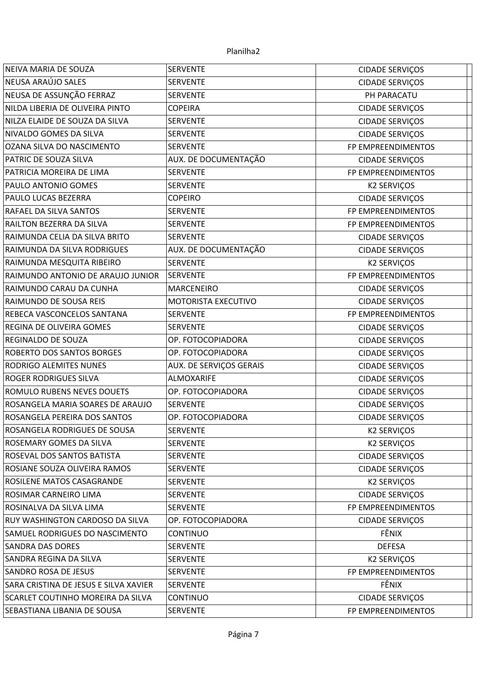| NEIVA MARIA DE SOUZA                  | <b>SERVENTE</b>         | <b>CIDADE SERVIÇOS</b> |
|---------------------------------------|-------------------------|------------------------|
| NEUSA ARAÚJO SALES                    | <b>SERVENTE</b>         | <b>CIDADE SERVIÇOS</b> |
| NEUSA DE ASSUNÇÃO FERRAZ              | <b>SERVENTE</b>         | PH PARACATU            |
| NILDA LIBERIA DE OLIVEIRA PINTO       | <b>COPEIRA</b>          | <b>CIDADE SERVIÇOS</b> |
| NILZA ELAIDE DE SOUZA DA SILVA        | <b>SERVENTE</b>         | <b>CIDADE SERVIÇOS</b> |
| NIVALDO GOMES DA SILVA                | <b>SERVENTE</b>         | <b>CIDADE SERVIÇOS</b> |
| OZANA SILVA DO NASCIMENTO             | <b>SERVENTE</b>         | FP EMPREENDIMENTOS     |
| PATRIC DE SOUZA SILVA                 | AUX. DE DOCUMENTAÇÃO    | <b>CIDADE SERVIÇOS</b> |
| PATRICIA MOREIRA DE LIMA              | <b>SERVENTE</b>         | FP EMPREENDIMENTOS     |
| PAULO ANTONIO GOMES                   | <b>SERVENTE</b>         | <b>K2 SERVIÇOS</b>     |
| PAULO LUCAS BEZERRA                   | <b>COPEIRO</b>          | <b>CIDADE SERVIÇOS</b> |
| RAFAEL DA SILVA SANTOS                | <b>SERVENTE</b>         | FP EMPREENDIMENTOS     |
| RAILTON BEZERRA DA SILVA              | <b>SERVENTE</b>         | FP EMPREENDIMENTOS     |
| RAIMUNDA CELIA DA SILVA BRITO         | <b>SERVENTE</b>         | <b>CIDADE SERVIÇOS</b> |
| RAIMUNDA DA SILVA RODRIGUES           | AUX. DE DOCUMENTAÇÃO    | <b>CIDADE SERVIÇOS</b> |
| RAIMUNDA MESQUITA RIBEIRO             | <b>SERVENTE</b>         | <b>K2 SERVIÇOS</b>     |
| RAIMUNDO ANTONIO DE ARAUJO JUNIOR     | <b>SERVENTE</b>         | FP EMPREENDIMENTOS     |
| RAIMUNDO CARAU DA CUNHA               | <b>MARCENEIRO</b>       | <b>CIDADE SERVIÇOS</b> |
| RAIMUNDO DE SOUSA REIS                | MOTORISTA EXECUTIVO     | <b>CIDADE SERVIÇOS</b> |
| REBECA VASCONCELOS SANTANA            | <b>SERVENTE</b>         | FP EMPREENDIMENTOS     |
| REGINA DE OLIVEIRA GOMES              | <b>SERVENTE</b>         | <b>CIDADE SERVIÇOS</b> |
| REGINALDO DE SOUZA                    | OP. FOTOCOPIADORA       | <b>CIDADE SERVIÇOS</b> |
| <b>ROBERTO DOS SANTOS BORGES</b>      | OP. FOTOCOPIADORA       | <b>CIDADE SERVIÇOS</b> |
| RODRIGO ALEMITES NUNES                | AUX. DE SERVIÇOS GERAIS | <b>CIDADE SERVIÇOS</b> |
| <b>ROGER RODRIGUES SILVA</b>          | ALMOXARIFE              | <b>CIDADE SERVIÇOS</b> |
| ROMULO RUBENS NEVES DOUETS            | OP. FOTOCOPIADORA       | <b>CIDADE SERVIÇOS</b> |
| ROSANGELA MARIA SOARES DE ARAUJO      | <b>SERVENTE</b>         | <b>CIDADE SERVIÇOS</b> |
| ROSANGELA PEREIRA DOS SANTOS          | OP. FOTOCOPIADORA       | <b>CIDADE SERVIÇOS</b> |
| ROSANGELA RODRIGUES DE SOUSA          | <b>SERVENTE</b>         | <b>K2 SERVIÇOS</b>     |
| <b>ROSEMARY GOMES DA SILVA</b>        | <b>SERVENTE</b>         | <b>K2 SERVIÇOS</b>     |
| ROSEVAL DOS SANTOS BATISTA            | <b>SERVENTE</b>         | <b>CIDADE SERVIÇOS</b> |
| ROSIANE SOUZA OLIVEIRA RAMOS          | <b>SERVENTE</b>         | <b>CIDADE SERVIÇOS</b> |
| ROSILENE MATOS CASAGRANDE             | <b>SERVENTE</b>         | <b>K2 SERVIÇOS</b>     |
| ROSIMAR CARNEIRO LIMA                 | <b>SERVENTE</b>         | <b>CIDADE SERVIÇOS</b> |
| ROSINALVA DA SILVA LIMA               | <b>SERVENTE</b>         | FP EMPREENDIMENTOS     |
| RUY WASHINGTON CARDOSO DA SILVA       | OP. FOTOCOPIADORA       | CIDADE SERVIÇOS        |
| SAMUEL RODRIGUES DO NASCIMENTO        | <b>CONTINUO</b>         | FÊNIX                  |
| SANDRA DAS DORES                      | <b>SERVENTE</b>         | <b>DEFESA</b>          |
| SANDRA REGINA DA SILVA                | <b>SERVENTE</b>         | <b>K2 SERVIÇOS</b>     |
| SANDRO ROSA DE JESUS                  | <b>SERVENTE</b>         | FP EMPREENDIMENTOS     |
| SARA CRISTINA DE JESUS E SILVA XAVIER | <b>SERVENTE</b>         | FÊNIX                  |
| SCARLET COUTINHO MOREIRA DA SILVA     | <b>CONTINUO</b>         | <b>CIDADE SERVIÇOS</b> |
| SEBASTIANA LIBANIA DE SOUSA           | <b>SERVENTE</b>         | FP EMPREENDIMENTOS     |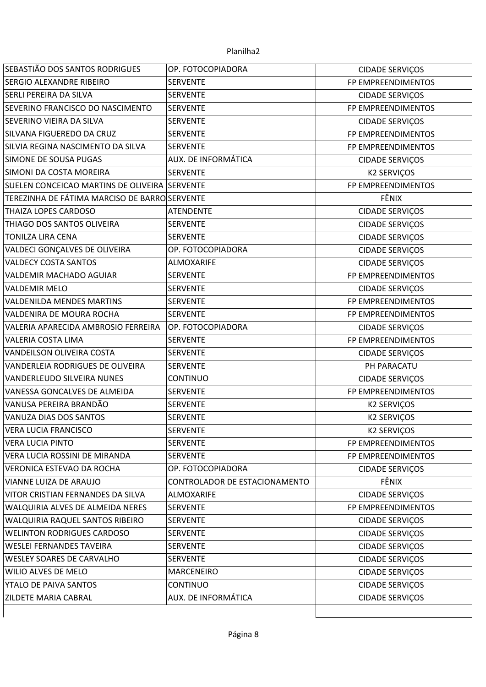| SEBASTIÃO DOS SANTOS RODRIGUES                | OP. FOTOCOPIADORA             | <b>CIDADE SERVIÇOS</b> |
|-----------------------------------------------|-------------------------------|------------------------|
| SERGIO ALEXANDRE RIBEIRO                      | <b>SERVENTE</b>               | FP EMPREENDIMENTOS     |
| SERLI PEREIRA DA SILVA                        | <b>SERVENTE</b>               | <b>CIDADE SERVIÇOS</b> |
| SEVERINO FRANCISCO DO NASCIMENTO              | <b>SERVENTE</b>               | FP EMPREENDIMENTOS     |
| SEVERINO VIEIRA DA SILVA                      | <b>SERVENTE</b>               | <b>CIDADE SERVIÇOS</b> |
| SILVANA FIGUEREDO DA CRUZ                     | <b>SERVENTE</b>               | FP EMPREENDIMENTOS     |
| SILVIA REGINA NASCIMENTO DA SILVA             | <b>SERVENTE</b>               | FP EMPREENDIMENTOS     |
| SIMONE DE SOUSA PUGAS                         | AUX. DE INFORMÁTICA           | <b>CIDADE SERVIÇOS</b> |
| SIMONI DA COSTA MOREIRA                       | <b>SERVENTE</b>               | <b>K2 SERVIÇOS</b>     |
| SUELEN CONCEICAO MARTINS DE OLIVEIRA SERVENTE |                               | FP EMPREENDIMENTOS     |
| TEREZINHA DE FÁTIMA MARCISO DE BARRO SERVENTE |                               | FÊNIX                  |
| THAIZA LOPES CARDOSO                          | <b>ATENDENTE</b>              | <b>CIDADE SERVIÇOS</b> |
| THIAGO DOS SANTOS OLIVEIRA                    | <b>SERVENTE</b>               | <b>CIDADE SERVIÇOS</b> |
| <b>TONILZA LIRA CENA</b>                      | <b>SERVENTE</b>               | <b>CIDADE SERVIÇOS</b> |
| VALDECI GONÇALVES DE OLIVEIRA                 | OP. FOTOCOPIADORA             | <b>CIDADE SERVIÇOS</b> |
| <b>VALDECY COSTA SANTOS</b>                   | <b>ALMOXARIFE</b>             | <b>CIDADE SERVIÇOS</b> |
| <b>VALDEMIR MACHADO AGUIAR</b>                | <b>SERVENTE</b>               | FP EMPREENDIMENTOS     |
| <b>VALDEMIR MELO</b>                          | <b>SERVENTE</b>               | <b>CIDADE SERVIÇOS</b> |
| VALDENILDA MENDES MARTINS                     | <b>SERVENTE</b>               | FP EMPREENDIMENTOS     |
| VALDENIRA DE MOURA ROCHA                      | <b>SERVENTE</b>               | FP EMPREENDIMENTOS     |
| VALERIA APARECIDA AMBROSIO FERREIRA           | OP. FOTOCOPIADORA             | <b>CIDADE SERVIÇOS</b> |
| VALERIA COSTA LIMA                            | <b>SERVENTE</b>               | FP EMPREENDIMENTOS     |
| VANDEILSON OLIVEIRA COSTA                     | <b>SERVENTE</b>               | CIDADE SERVIÇOS        |
| VANDERLEIA RODRIGUES DE OLIVEIRA              | <b>SERVENTE</b>               | PH PARACATU            |
| VANDERLEUDO SILVEIRA NUNES                    | <b>CONTINUO</b>               | <b>CIDADE SERVIÇOS</b> |
| VANESSA GONCALVES DE ALMEIDA                  | <b>SERVENTE</b>               | FP EMPREENDIMENTOS     |
| VANUSA PEREIRA BRANDÃO                        | <b>SERVENTE</b>               | <b>K2 SERVIÇOS</b>     |
| VANUZA DIAS DOS SANTOS                        | <b>SERVENTE</b>               | <b>K2 SERVIÇOS</b>     |
| <b>VERA LUCIA FRANCISCO</b>                   | <b>SERVENTE</b>               | <b>K2 SERVIÇOS</b>     |
| <b>VERA LUCIA PINTO</b>                       | <b>SERVENTE</b>               | FP EMPREENDIMENTOS     |
| VERA LUCIA ROSSINI DE MIRANDA                 | <b>SERVENTE</b>               | FP EMPREENDIMENTOS     |
| VERONICA ESTEVAO DA ROCHA                     | OP. FOTOCOPIADORA             | <b>CIDADE SERVIÇOS</b> |
| VIANNE LUIZA DE ARAUJO                        | CONTROLADOR DE ESTACIONAMENTO | FÊNIX                  |
| VITOR CRISTIAN FERNANDES DA SILVA             | ALMOXARIFE                    | <b>CIDADE SERVIÇOS</b> |
| WALQUIRIA ALVES DE ALMEIDA NERES              | <b>SERVENTE</b>               | FP EMPREENDIMENTOS     |
| WALQUIRIA RAQUEL SANTOS RIBEIRO               | <b>SERVENTE</b>               | <b>CIDADE SERVIÇOS</b> |
| <b>WELINTON RODRIGUES CARDOSO</b>             | <b>SERVENTE</b>               | <b>CIDADE SERVIÇOS</b> |
| <b>WESLEI FERNANDES TAVEIRA</b>               | <b>SERVENTE</b>               | <b>CIDADE SERVIÇOS</b> |
| <b>WESLEY SOARES DE CARVALHO</b>              | <b>SERVENTE</b>               | <b>CIDADE SERVIÇOS</b> |
| WILIO ALVES DE MELO                           | MARCENEIRO                    | <b>CIDADE SERVIÇOS</b> |
| YTALO DE PAIVA SANTOS                         | CONTINUO                      | <b>CIDADE SERVIÇOS</b> |
| ZILDETE MARIA CABRAL                          | AUX. DE INFORMÁTICA           | CIDADE SERVIÇOS        |
|                                               |                               |                        |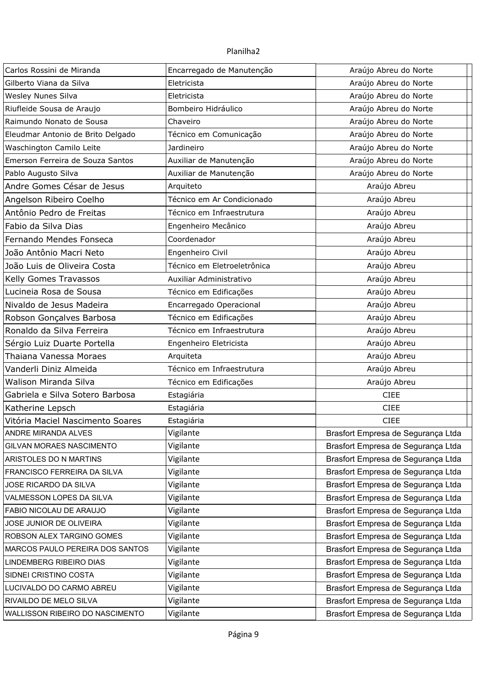| Carlos Rossini de Miranda         | Encarregado de Manutenção   | Araújo Abreu do Norte              |
|-----------------------------------|-----------------------------|------------------------------------|
| Gilberto Viana da Silva           | Eletricista                 | Araújo Abreu do Norte              |
| Wesley Nunes Silva                | Eletricista                 | Araújo Abreu do Norte              |
| Riufleide Sousa de Araujo         | Bombeiro Hidráulico         | Araújo Abreu do Norte              |
| Raimundo Nonato de Sousa          | Chaveiro                    | Araújo Abreu do Norte              |
| Eleudmar Antonio de Brito Delgado | Técnico em Comunicação      | Araújo Abreu do Norte              |
| Waschington Camilo Leite          | Jardineiro                  | Araújo Abreu do Norte              |
| Emerson Ferreira de Souza Santos  | Auxiliar de Manutenção      | Araújo Abreu do Norte              |
| Pablo Augusto Silva               | Auxiliar de Manutenção      | Araújo Abreu do Norte              |
| Andre Gomes César de Jesus        | Arquiteto                   | Araújo Abreu                       |
| Angelson Ribeiro Coelho           | Técnico em Ar Condicionado  | Araújo Abreu                       |
| Antônio Pedro de Freitas          | Técnico em Infraestrutura   | Araújo Abreu                       |
| Fabio da Silva Dias               | Engenheiro Mecânico         | Araújo Abreu                       |
| Fernando Mendes Fonseca           | Coordenador                 | Araújo Abreu                       |
| João Antônio Macri Neto           | Engenheiro Civil            | Araújo Abreu                       |
| João Luis de Oliveira Costa       | Técnico em Eletroeletrônica | Araújo Abreu                       |
| Kelly Gomes Travassos             | Auxiliar Administrativo     | Araújo Abreu                       |
| Lucineia Rosa de Sousa            | Técnico em Edificações      | Araújo Abreu                       |
| Nivaldo de Jesus Madeira          | Encarregado Operacional     | Araújo Abreu                       |
| Robson Gonçalves Barbosa          | Técnico em Edificações      | Araújo Abreu                       |
| Ronaldo da Silva Ferreira         | Técnico em Infraestrutura   | Araújo Abreu                       |
| Sérgio Luiz Duarte Portella       | Engenheiro Eletricista      | Araújo Abreu                       |
| Thaiana Vanessa Moraes            | Arquiteta                   | Araújo Abreu                       |
| Vanderli Diniz Almeida            | Técnico em Infraestrutura   | Araújo Abreu                       |
| Walison Miranda Silva             | Técnico em Edificações      | Araújo Abreu                       |
| Gabriela e Silva Sotero Barbosa   | Estagiária                  | <b>CIEE</b>                        |
| Katherine Lepsch                  | Estagiária                  | <b>CIEE</b>                        |
| Vitória Maciel Nascimento Soares  | Estagiária                  | <b>CIEE</b>                        |
| ANDRE MIRANDA ALVES               | Vigilante                   | Brasfort Empresa de Segurança Ltda |
| GILVAN MORAES NASCIMENTO          | Vigilante                   | Brasfort Empresa de Segurança Ltda |
| ARISTOLES DO N MARTINS            | Vigilante                   | Brasfort Empresa de Segurança Ltda |
| FRANCISCO FERREIRA DA SILVA       | Vigilante                   | Brasfort Empresa de Segurança Ltda |
| JOSE RICARDO DA SILVA             | Vigilante                   | Brasfort Empresa de Segurança Ltda |
| VALMESSON LOPES DA SILVA          | Vigilante                   | Brasfort Empresa de Segurança Ltda |
| FABIO NICOLAU DE ARAUJO           | Vigilante                   | Brasfort Empresa de Segurança Ltda |
| JOSE JUNIOR DE OLIVEIRA           | Vigilante                   | Brasfort Empresa de Segurança Ltda |
| ROBSON ALEX TARGINO GOMES         | Vigilante                   | Brasfort Empresa de Segurança Ltda |
| MARCOS PAULO PEREIRA DOS SANTOS   | Vigilante                   | Brasfort Empresa de Segurança Ltda |
| LINDEMBERG RIBEIRO DIAS           | Vigilante                   | Brasfort Empresa de Segurança Ltda |
| SIDNEI CRISTINO COSTA             | Vigilante                   | Brasfort Empresa de Segurança Ltda |
| LUCIVALDO DO CARMO ABREU          | Vigilante                   | Brasfort Empresa de Segurança Ltda |
| RIVAILDO DE MELO SILVA            | Vigilante                   | Brasfort Empresa de Segurança Ltda |
| WALLISSON RIBEIRO DO NASCIMENTO   | Vigilante                   | Brasfort Empresa de Segurança Ltda |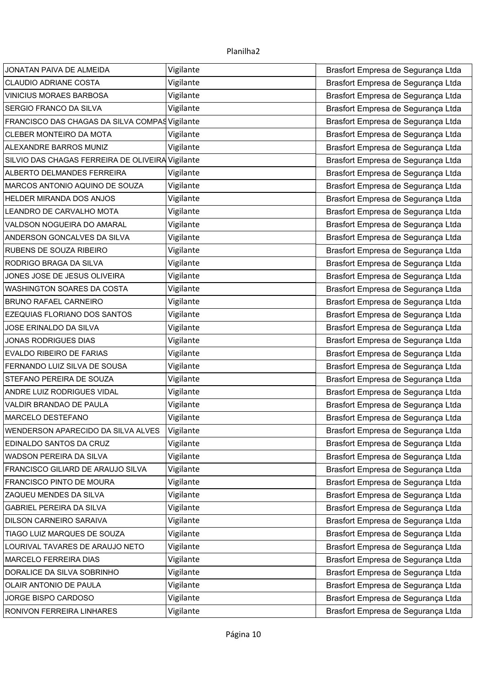| JONATAN PAIVA DE ALMEIDA                         | Vigilante | Brasfort Empresa de Segurança Ltda |
|--------------------------------------------------|-----------|------------------------------------|
| <b>CLAUDIO ADRIANE COSTA</b>                     | Vigilante | Brasfort Empresa de Segurança Ltda |
| <b>VINICIUS MORAES BARBOSA</b>                   | Vigilante | Brasfort Empresa de Segurança Ltda |
| SERGIO FRANCO DA SILVA                           | Vigilante | Brasfort Empresa de Segurança Ltda |
| FRANCISCO DAS CHAGAS DA SILVA COMPAS Vigilante   |           | Brasfort Empresa de Segurança Ltda |
| CLEBER MONTEIRO DA MOTA                          | Vigilante | Brasfort Empresa de Segurança Ltda |
| ALEXANDRE BARROS MUNIZ                           | Vigilante | Brasfort Empresa de Segurança Ltda |
| SILVIO DAS CHAGAS FERREIRA DE OLIVEIRA Vigilante |           | Brasfort Empresa de Segurança Ltda |
| ALBERTO DELMANDES FERREIRA                       | Vigilante | Brasfort Empresa de Segurança Ltda |
| MARCOS ANTONIO AQUINO DE SOUZA                   | Vigilante | Brasfort Empresa de Segurança Ltda |
| HELDER MIRANDA DOS ANJOS                         | Vigilante | Brasfort Empresa de Segurança Ltda |
| LEANDRO DE CARVALHO MOTA                         | Vigilante | Brasfort Empresa de Segurança Ltda |
| VALDSON NOGUEIRA DO AMARAL                       | Vigilante | Brasfort Empresa de Segurança Ltda |
| ANDERSON GONCALVES DA SILVA                      | Vigilante | Brasfort Empresa de Segurança Ltda |
| RUBENS DE SOUZA RIBEIRO                          | Vigilante | Brasfort Empresa de Segurança Ltda |
| RODRIGO BRAGA DA SILVA                           | Vigilante | Brasfort Empresa de Segurança Ltda |
| JONES JOSE DE JESUS OLIVEIRA                     | Vigilante | Brasfort Empresa de Segurança Ltda |
| WASHINGTON SOARES DA COSTA                       | Vigilante | Brasfort Empresa de Segurança Ltda |
| <b>BRUNO RAFAEL CARNEIRO</b>                     | Vigilante | Brasfort Empresa de Segurança Ltda |
| EZEQUIAS FLORIANO DOS SANTOS                     | Vigilante | Brasfort Empresa de Segurança Ltda |
| JOSE ERINALDO DA SILVA                           | Vigilante | Brasfort Empresa de Segurança Ltda |
| <b>JONAS RODRIGUES DIAS</b>                      | Vigilante | Brasfort Empresa de Segurança Ltda |
| EVALDO RIBEIRO DE FARIAS                         | Vigilante | Brasfort Empresa de Segurança Ltda |
| FERNANDO LUIZ SILVA DE SOUSA                     | Vigilante | Brasfort Empresa de Segurança Ltda |
| STEFANO PEREIRA DE SOUZA                         | Vigilante | Brasfort Empresa de Segurança Ltda |
| ANDRE LUIZ RODRIGUES VIDAL                       | Vigilante | Brasfort Empresa de Segurança Ltda |
| VALDIR BRANDAO DE PAULA                          | Vigilante | Brasfort Empresa de Segurança Ltda |
| MARCELO DESTEFANO                                | Vigilante | Brasfort Empresa de Segurança Ltda |
| WENDERSON APARECIDO DA SILVA ALVES               | Vigilante | Brasfort Empresa de Segurança Ltda |
| EDINALDO SANTOS DA CRUZ                          | Vigilante | Brasfort Empresa de Segurança Ltda |
| WADSON PEREIRA DA SILVA                          | Vigilante | Brasfort Empresa de Segurança Ltda |
| FRANCISCO GILIARD DE ARAUJO SILVA                | Vigilante | Brasfort Empresa de Segurança Ltda |
| FRANCISCO PINTO DE MOURA                         | Vigilante | Brasfort Empresa de Segurança Ltda |
| ZAQUEU MENDES DA SILVA                           | Vigilante | Brasfort Empresa de Segurança Ltda |
| <b>GABRIEL PEREIRA DA SILVA</b>                  | Vigilante | Brasfort Empresa de Segurança Ltda |
| DILSON CARNEIRO SARAIVA                          | Vigilante | Brasfort Empresa de Segurança Ltda |
| TIAGO LUIZ MARQUES DE SOUZA                      | Vigilante | Brasfort Empresa de Segurança Ltda |
| LOURIVAL TAVARES DE ARAUJO NETO                  | Vigilante | Brasfort Empresa de Segurança Ltda |
| MARCELO FERREIRA DIAS                            | Vigilante | Brasfort Empresa de Segurança Ltda |
| DORALICE DA SILVA SOBRINHO                       | Vigilante | Brasfort Empresa de Segurança Ltda |
| OLAIR ANTONIO DE PAULA                           | Vigilante | Brasfort Empresa de Segurança Ltda |
| JORGE BISPO CARDOSO                              | Vigilante | Brasfort Empresa de Segurança Ltda |
| RONIVON FERREIRA LINHARES                        | Vigilante | Brasfort Empresa de Segurança Ltda |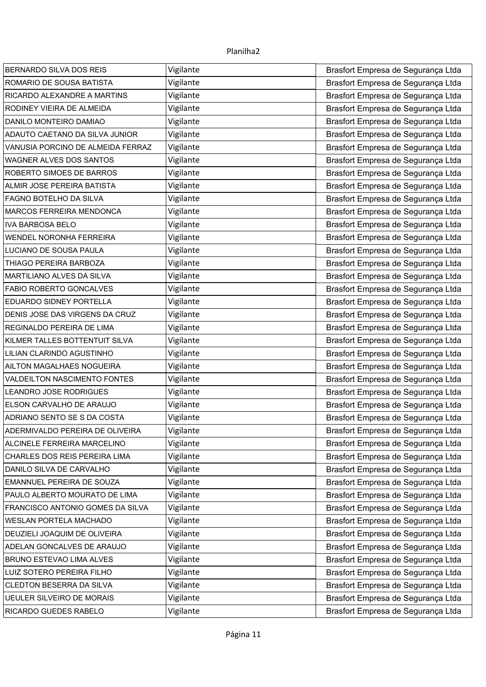| <b>BERNARDO SILVA DOS REIS</b>    | Vigilante | Brasfort Empresa de Segurança Ltda |
|-----------------------------------|-----------|------------------------------------|
| ROMARIO DE SOUSA BATISTA          | Vigilante | Brasfort Empresa de Segurança Ltda |
| RICARDO ALEXANDRE A MARTINS       | Vigilante | Brasfort Empresa de Segurança Ltda |
| RODINEY VIEIRA DE ALMEIDA         | Vigilante | Brasfort Empresa de Segurança Ltda |
| DANILO MONTEIRO DAMIAO            | Vigilante | Brasfort Empresa de Segurança Ltda |
| ADAUTO CAETANO DA SILVA JUNIOR    | Vigilante | Brasfort Empresa de Segurança Ltda |
| VANUSIA PORCINO DE ALMEIDA FERRAZ | Vigilante | Brasfort Empresa de Segurança Ltda |
| <b>WAGNER ALVES DOS SANTOS</b>    | Vigilante | Brasfort Empresa de Segurança Ltda |
| ROBERTO SIMOES DE BARROS          | Vigilante | Brasfort Empresa de Segurança Ltda |
| ALMIR JOSE PEREIRA BATISTA        | Vigilante | Brasfort Empresa de Segurança Ltda |
| FAGNO BOTELHO DA SILVA            | Vigilante | Brasfort Empresa de Segurança Ltda |
| MARCOS FERREIRA MENDONCA          | Vigilante | Brasfort Empresa de Segurança Ltda |
| <b>IVA BARBOSA BELO</b>           | Vigilante | Brasfort Empresa de Segurança Ltda |
| WENDEL NORONHA FERREIRA           | Vigilante | Brasfort Empresa de Segurança Ltda |
| LUCIANO DE SOUSA PAULA            | Vigilante | Brasfort Empresa de Segurança Ltda |
| THIAGO PEREIRA BARBOZA            | Vigilante | Brasfort Empresa de Segurança Ltda |
| MARTILIANO ALVES DA SILVA         | Vigilante | Brasfort Empresa de Segurança Ltda |
| FABIO ROBERTO GONCALVES           | Vigilante | Brasfort Empresa de Segurança Ltda |
| EDUARDO SIDNEY PORTELLA           | Vigilante | Brasfort Empresa de Segurança Ltda |
| DENIS JOSE DAS VIRGENS DA CRUZ    | Vigilante | Brasfort Empresa de Segurança Ltda |
| REGINALDO PEREIRA DE LIMA         | Vigilante | Brasfort Empresa de Segurança Ltda |
| KILMER TALLES BOTTENTUIT SILVA    | Vigilante | Brasfort Empresa de Segurança Ltda |
| LILIAN CLARINDO AGUSTINHO         | Vigilante | Brasfort Empresa de Segurança Ltda |
| AILTON MAGALHAES NOGUEIRA         | Vigilante | Brasfort Empresa de Segurança Ltda |
| VALDEILTON NASCIMENTO FONTES      | Vigilante | Brasfort Empresa de Segurança Ltda |
| LEANDRO JOSE RODRIGUES            | Vigilante | Brasfort Empresa de Segurança Ltda |
| ELSON CARVALHO DE ARAUJO          | Vigilante | Brasfort Empresa de Segurança Ltda |
| ADRIANO SENTO SE S DA COSTA       | Vigilante | Brasfort Empresa de Segurança Ltda |
| ADERMIVALDO PEREIRA DE OLIVEIRA   | Vigilante | Brasfort Empresa de Segurança Ltda |
| ALCINELE FERREIRA MARCELINO       | Vigilante | Brasfort Empresa de Segurança Ltda |
| CHARLES DOS REIS PEREIRA LIMA     | Vigilante | Brasfort Empresa de Segurança Ltda |
| DANILO SILVA DE CARVALHO          | Vigilante | Brasfort Empresa de Segurança Ltda |
| EMANNUEL PEREIRA DE SOUZA         | Vigilante | Brasfort Empresa de Segurança Ltda |
| PAULO ALBERTO MOURATO DE LIMA     | Vigilante | Brasfort Empresa de Segurança Ltda |
| FRANCISCO ANTONIO GOMES DA SILVA  | Vigilante | Brasfort Empresa de Segurança Ltda |
| WESLAN PORTELA MACHADO            | Vigilante | Brasfort Empresa de Segurança Ltda |
| DEUZIELI JOAQUIM DE OLIVEIRA      | Vigilante | Brasfort Empresa de Segurança Ltda |
| ADELAN GONCALVES DE ARAUJO        | Vigilante | Brasfort Empresa de Segurança Ltda |
| BRUNO ESTEVAO LIMA ALVES          | Vigilante | Brasfort Empresa de Segurança Ltda |
| LUIZ SOTERO PEREIRA FILHO         | Vigilante | Brasfort Empresa de Segurança Ltda |
| CLEDTON BESERRA DA SILVA          | Vigilante | Brasfort Empresa de Segurança Ltda |
| <b>UEULER SILVEIRO DE MORAIS</b>  | Vigilante | Brasfort Empresa de Segurança Ltda |
| RICARDO GUEDES RABELO             | Vigilante | Brasfort Empresa de Segurança Ltda |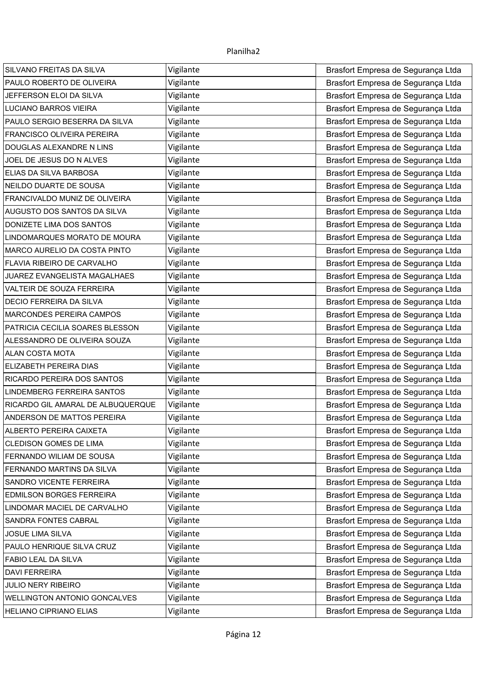| SILVANO FREITAS DA SILVA          | Vigilante | Brasfort Empresa de Segurança Ltda |
|-----------------------------------|-----------|------------------------------------|
| PAULO ROBERTO DE OLIVEIRA         | Vigilante | Brasfort Empresa de Segurança Ltda |
| JEFFERSON ELOI DA SILVA           | Vigilante | Brasfort Empresa de Segurança Ltda |
| <b>LUCIANO BARROS VIEIRA</b>      | Vigilante | Brasfort Empresa de Segurança Ltda |
| PAULO SERGIO BESERRA DA SILVA     | Vigilante | Brasfort Empresa de Segurança Ltda |
| FRANCISCO OLIVEIRA PEREIRA        | Vigilante | Brasfort Empresa de Segurança Ltda |
| DOUGLAS ALEXANDRE N LINS          | Vigilante | Brasfort Empresa de Segurança Ltda |
| JOEL DE JESUS DO N ALVES          | Vigilante | Brasfort Empresa de Segurança Ltda |
| ELIAS DA SILVA BARBOSA            | Vigilante | Brasfort Empresa de Segurança Ltda |
| NEILDO DUARTE DE SOUSA            | Vigilante | Brasfort Empresa de Segurança Ltda |
| FRANCIVALDO MUNIZ DE OLIVEIRA     | Vigilante | Brasfort Empresa de Segurança Ltda |
| AUGUSTO DOS SANTOS DA SILVA       | Vigilante | Brasfort Empresa de Segurança Ltda |
| DONIZETE LIMA DOS SANTOS          | Vigilante | Brasfort Empresa de Segurança Ltda |
| LINDOMARQUES MORATO DE MOURA      | Vigilante | Brasfort Empresa de Segurança Ltda |
| MARCO AURELIO DA COSTA PINTO      | Vigilante | Brasfort Empresa de Segurança Ltda |
| FLAVIA RIBEIRO DE CARVALHO        | Vigilante | Brasfort Empresa de Segurança Ltda |
| JUAREZ EVANGELISTA MAGALHAES      | Vigilante | Brasfort Empresa de Segurança Ltda |
| VALTEIR DE SOUZA FERREIRA         | Vigilante | Brasfort Empresa de Segurança Ltda |
| DECIO FERREIRA DA SILVA           | Vigilante | Brasfort Empresa de Segurança Ltda |
| <b>MARCONDES PEREIRA CAMPOS</b>   | Vigilante | Brasfort Empresa de Segurança Ltda |
| PATRICIA CECILIA SOARES BLESSON   | Vigilante | Brasfort Empresa de Segurança Ltda |
| ALESSANDRO DE OLIVEIRA SOUZA      | Vigilante | Brasfort Empresa de Segurança Ltda |
| <b>ALAN COSTA MOTA</b>            | Vigilante | Brasfort Empresa de Segurança Ltda |
| ELIZABETH PEREIRA DIAS            | Vigilante | Brasfort Empresa de Segurança Ltda |
| RICARDO PEREIRA DOS SANTOS        | Vigilante | Brasfort Empresa de Segurança Ltda |
| LINDEMBERG FERREIRA SANTOS        | Vigilante | Brasfort Empresa de Segurança Ltda |
| RICARDO GIL AMARAL DE ALBUQUERQUE | Vigilante | Brasfort Empresa de Segurança Ltda |
| ANDERSON DE MATTOS PEREIRA        | Vigilante | Brasfort Empresa de Segurança Ltda |
| ALBERTO PEREIRA CAIXETA           | Vigilante | Brasfort Empresa de Segurança Ltda |
| <b>CLEDISON GOMES DE LIMA</b>     | Vigilante | Brasfort Empresa de Segurança Ltda |
| FERNANDO WILIAM DE SOUSA          | Vigilante | Brasfort Empresa de Segurança Ltda |
| FERNANDO MARTINS DA SILVA         | Vigilante | Brasfort Empresa de Segurança Ltda |
| SANDRO VICENTE FERREIRA           | Vigilante | Brasfort Empresa de Segurança Ltda |
| EDMILSON BORGES FERREIRA          | Vigilante | Brasfort Empresa de Segurança Ltda |
| LINDOMAR MACIEL DE CARVALHO       | Vigilante | Brasfort Empresa de Segurança Ltda |
| SANDRA FONTES CABRAL              | Vigilante | Brasfort Empresa de Segurança Ltda |
| <b>JOSUE LIMA SILVA</b>           | Vigilante | Brasfort Empresa de Segurança Ltda |
| PAULO HENRIQUE SILVA CRUZ         | Vigilante | Brasfort Empresa de Segurança Ltda |
| FABIO LEAL DA SILVA               | Vigilante | Brasfort Empresa de Segurança Ltda |
| <b>DAVI FERREIRA</b>              | Vigilante | Brasfort Empresa de Segurança Ltda |
| JULIO NERY RIBEIRO                | Vigilante | Brasfort Empresa de Segurança Ltda |
| WELLINGTON ANTONIO GONCALVES      | Vigilante | Brasfort Empresa de Segurança Ltda |
| HELIANO CIPRIANO ELIAS            | Vigilante | Brasfort Empresa de Segurança Ltda |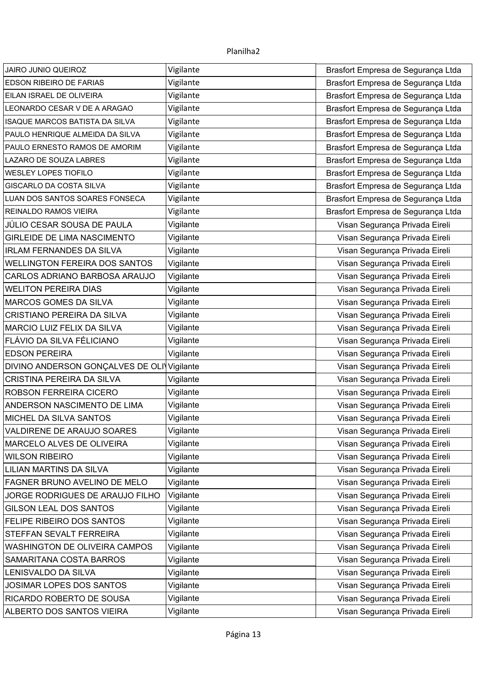| <b>JAIRO JUNIO QUEIROZ</b>                 | Vigilante | Brasfort Empresa de Segurança Ltda |
|--------------------------------------------|-----------|------------------------------------|
| <b>EDSON RIBEIRO DE FARIAS</b>             | Vigilante | Brasfort Empresa de Segurança Ltda |
| EILAN ISRAEL DE OLIVEIRA                   | Vigilante | Brasfort Empresa de Segurança Ltda |
| LEONARDO CESAR V DE A ARAGAO               | Vigilante | Brasfort Empresa de Segurança Ltda |
| <b>ISAQUE MARCOS BATISTA DA SILVA</b>      | Vigilante | Brasfort Empresa de Segurança Ltda |
| PAULO HENRIQUE ALMEIDA DA SILVA            | Vigilante | Brasfort Empresa de Segurança Ltda |
| PAULO ERNESTO RAMOS DE AMORIM              | Vigilante | Brasfort Empresa de Segurança Ltda |
| LAZARO DE SOUZA LABRES                     | Vigilante | Brasfort Empresa de Segurança Ltda |
| <b>WESLEY LOPES TIOFILO</b>                | Vigilante | Brasfort Empresa de Segurança Ltda |
| <b>GISCARLO DA COSTA SILVA</b>             | Vigilante | Brasfort Empresa de Segurança Ltda |
| LUAN DOS SANTOS SOARES FONSECA             | Vigilante | Brasfort Empresa de Segurança Ltda |
| REINALDO RAMOS VIEIRA                      | Vigilante | Brasfort Empresa de Segurança Ltda |
| JÚLIO CESAR SOUSA DE PAULA                 | Vigilante | Visan Segurança Privada Eireli     |
| <b>GIRLEIDE DE LIMA NASCIMENTO</b>         | Vigilante | Visan Segurança Privada Eireli     |
| <b>IRLAM FERNANDES DA SILVA</b>            | Vigilante | Visan Segurança Privada Eireli     |
| <b>WELLINGTON FEREIRA DOS SANTOS</b>       | Vigilante | Visan Segurança Privada Eireli     |
| CARLOS ADRIANO BARBOSA ARAUJO              | Vigilante | Visan Segurança Privada Eireli     |
| <b>WELITON PEREIRA DIAS</b>                | Vigilante | Visan Segurança Privada Eireli     |
| MARCOS GOMES DA SILVA                      | Vigilante | Visan Segurança Privada Eireli     |
| <b>CRISTIANO PEREIRA DA SILVA</b>          | Vigilante | Visan Segurança Privada Eireli     |
| MARCIO LUIZ FELIX DA SILVA                 | Vigilante | Visan Segurança Privada Eireli     |
| FLÁVIO DA SILVA FÉLICIANO                  | Vigilante | Visan Segurança Privada Eireli     |
| <b>EDSON PEREIRA</b>                       | Vigilante | Visan Segurança Privada Eireli     |
| DIVINO ANDERSON GONÇALVES DE OLI Vigilante |           | Visan Segurança Privada Eireli     |
| CRISTINA PEREIRA DA SILVA                  | Vigilante | Visan Segurança Privada Eireli     |
| ROBSON FERREIRA CICERO                     | Vigilante | Visan Segurança Privada Eireli     |
| ANDERSON NASCIMENTO DE LIMA                | Vigilante | Visan Segurança Privada Eireli     |
| MICHEL DA SILVA SANTOS                     | Vigilante | Visan Segurança Privada Eireli     |
| VALDIRENE DE ARAUJO SOARES                 | Vigilante | Visan Segurança Privada Eireli     |
| MARCELO ALVES DE OLIVEIRA                  | Vigilante | Visan Segurança Privada Eireli     |
| <b>WILSON RIBEIRO</b>                      | Vigilante | Visan Segurança Privada Eireli     |
| <b>LILIAN MARTINS DA SILVA</b>             | Vigilante | Visan Segurança Privada Eireli     |
| FAGNER BRUNO AVELINO DE MELO               | Vigilante | Visan Segurança Privada Eireli     |
| JORGE RODRIGUES DE ARAUJO FILHO            | Vigilante | Visan Segurança Privada Eireli     |
| GILSON LEAL DOS SANTOS                     | Vigilante | Visan Segurança Privada Eireli     |
| FELIPE RIBEIRO DOS SANTOS                  | Vigilante | Visan Segurança Privada Eireli     |
| STEFFAN SEVALT FERREIRA                    | Vigilante | Visan Segurança Privada Eireli     |
| WASHINGTON DE OLIVEIRA CAMPOS              | Vigilante | Visan Segurança Privada Eireli     |
| SAMARITANA COSTA BARROS                    | Vigilante | Visan Segurança Privada Eireli     |
| LENISVALDO DA SILVA                        | Vigilante | Visan Segurança Privada Eireli     |
| JOSIMAR LOPES DOS SANTOS                   | Vigilante | Visan Segurança Privada Eireli     |
| RICARDO ROBERTO DE SOUSA                   | Vigilante | Visan Segurança Privada Eireli     |
| ALBERTO DOS SANTOS VIEIRA                  | Vigilante | Visan Segurança Privada Eireli     |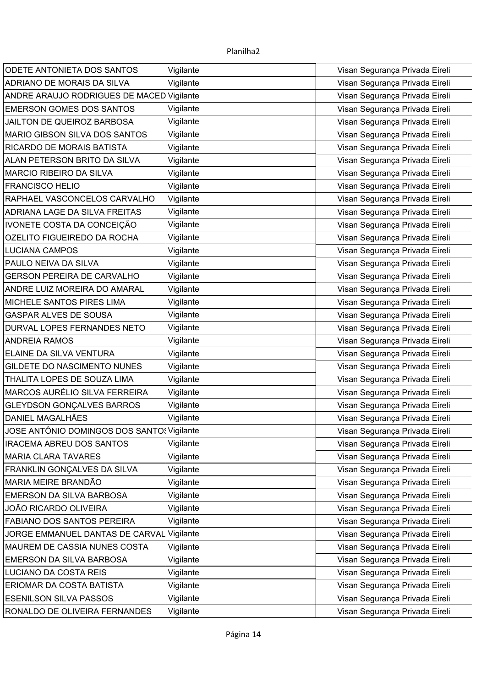| ODETE ANTONIETA DOS SANTOS                | Vigilante | Visan Segurança Privada Eireli |
|-------------------------------------------|-----------|--------------------------------|
| <b>ADRIANO DE MORAIS DA SILVA</b>         | Vigilante | Visan Segurança Privada Eireli |
| ANDRE ARAUJO RODRIGUES DE MACED Vigilante |           | Visan Segurança Privada Eireli |
| <b>EMERSON GOMES DOS SANTOS</b>           | Vigilante | Visan Segurança Privada Eireli |
| JAILTON DE QUEIROZ BARBOSA                | Vigilante | Visan Segurança Privada Eireli |
| MARIO GIBSON SILVA DOS SANTOS             | Vigilante | Visan Segurança Privada Eireli |
| RICARDO DE MORAIS BATISTA                 | Vigilante | Visan Segurança Privada Eireli |
| ALAN PETERSON BRITO DA SILVA              | Vigilante | Visan Segurança Privada Eireli |
| MARCIO RIBEIRO DA SILVA                   | Vigilante | Visan Segurança Privada Eireli |
| <b>FRANCISCO HELIO</b>                    | Vigilante | Visan Segurança Privada Eireli |
| RAPHAEL VASCONCELOS CARVALHO              | Vigilante | Visan Segurança Privada Eireli |
| ADRIANA LAGE DA SILVA FREITAS             | Vigilante | Visan Segurança Privada Eireli |
| IVONETE COSTA DA CONCEIÇÃO                | Vigilante | Visan Segurança Privada Eireli |
| OZELITO FIGUEIREDO DA ROCHA               | Vigilante | Visan Segurança Privada Eireli |
| <b>LUCIANA CAMPOS</b>                     | Vigilante | Visan Segurança Privada Eireli |
| PAULO NEIVA DA SILVA                      | Vigilante | Visan Segurança Privada Eireli |
| <b>GERSON PEREIRA DE CARVALHO</b>         | Vigilante | Visan Segurança Privada Eireli |
| ANDRE LUIZ MOREIRA DO AMARAL              | Vigilante | Visan Segurança Privada Eireli |
| MICHELE SANTOS PIRES LIMA                 | Vigilante | Visan Segurança Privada Eireli |
| GASPAR ALVES DE SOUSA                     | Vigilante | Visan Segurança Privada Eireli |
| DURVAL LOPES FERNANDES NETO               | Vigilante | Visan Segurança Privada Eireli |
| <b>ANDREIA RAMOS</b>                      | Vigilante | Visan Segurança Privada Eireli |
| ELAINE DA SILVA VENTURA                   | Vigilante | Visan Segurança Privada Eireli |
| GILDETE DO NASCIMENTO NUNES               | Vigilante | Visan Segurança Privada Eireli |
| THALITA LOPES DE SOUZA LIMA               | Vigilante | Visan Segurança Privada Eireli |
| MARCOS AURÉLIO SILVA FERREIRA             | Vigilante | Visan Segurança Privada Eireli |
| <b>GLEYDSON GONÇALVES BARROS</b>          | Vigilante | Visan Segurança Privada Eireli |
| <b>DANIEL MAGALHÃES</b>                   | Vigilante | Visan Segurança Privada Eireli |
| JOSE ANTÔNIO DOMINGOS DOS SANTO Vigilante |           | Visan Segurança Privada Eireli |
| <b>IRACEMA ABREU DOS SANTOS</b>           | Vigilante | Visan Segurança Privada Eireli |
| <b>MARIA CLARA TAVARES</b>                | Vigilante | Visan Segurança Privada Eireli |
| FRANKLIN GONÇALVES DA SILVA               | Vigilante | Visan Segurança Privada Eireli |
| MARIA MEIRE BRANDÃO                       | Vigilante | Visan Segurança Privada Eireli |
| EMERSON DA SILVA BARBOSA                  | Vigilante | Visan Segurança Privada Eireli |
| <b>JOÃO RICARDO OLIVEIRA</b>              | Vigilante | Visan Segurança Privada Eireli |
| FABIANO DOS SANTOS PEREIRA                | Vigilante | Visan Segurança Privada Eireli |
| JORGE EMMANUEL DANTAS DE CARVAL           | Vigilante | Visan Segurança Privada Eireli |
| MAUREM DE CASSIA NUNES COSTA              | Vigilante | Visan Segurança Privada Eireli |
| EMERSON DA SILVA BARBOSA                  | Vigilante | Visan Segurança Privada Eireli |
| LUCIANO DA COSTA REIS                     | Vigilante | Visan Segurança Privada Eireli |
| ERIOMAR DA COSTA BATISTA                  | Vigilante | Visan Segurança Privada Eireli |
| <b>ESENILSON SILVA PASSOS</b>             | Vigilante | Visan Segurança Privada Eireli |
| RONALDO DE OLIVEIRA FERNANDES             | Vigilante | Visan Segurança Privada Eireli |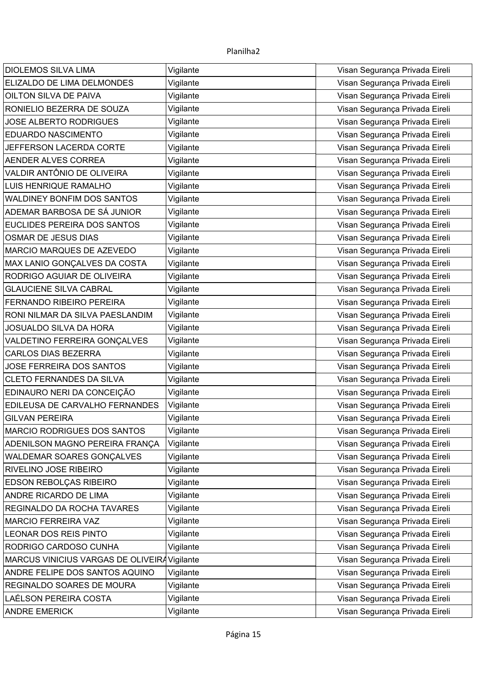| <b>DIOLEMOS SILVA LIMA</b>                   | Vigilante | Visan Segurança Privada Eireli |
|----------------------------------------------|-----------|--------------------------------|
| ELIZALDO DE LIMA DELMONDES                   | Vigilante | Visan Segurança Privada Eireli |
| OILTON SILVA DE PAIVA                        | Vigilante | Visan Segurança Privada Eireli |
| RONIELIO BEZERRA DE SOUZA                    | Vigilante | Visan Segurança Privada Eireli |
| <b>JOSE ALBERTO RODRIGUES</b>                | Vigilante | Visan Segurança Privada Eireli |
| <b>EDUARDO NASCIMENTO</b>                    | Vigilante | Visan Segurança Privada Eireli |
| JEFFERSON LACERDA CORTE                      | Vigilante | Visan Segurança Privada Eireli |
| AENDER ALVES CORREA                          | Vigilante | Visan Segurança Privada Eireli |
| VALDIR ANTÔNIO DE OLIVEIRA                   | Vigilante | Visan Segurança Privada Eireli |
| LUIS HENRIQUE RAMALHO                        | Vigilante | Visan Segurança Privada Eireli |
| WALDINEY BONFIM DOS SANTOS                   | Vigilante | Visan Segurança Privada Eireli |
| ADEMAR BARBOSA DE SÁ JUNIOR                  | Vigilante | Visan Segurança Privada Eireli |
| EUCLIDES PEREIRA DOS SANTOS                  | Vigilante | Visan Segurança Privada Eireli |
| <b>OSMAR DE JESUS DIAS</b>                   | Vigilante | Visan Segurança Privada Eireli |
| MARCIO MARQUES DE AZEVEDO                    | Vigilante | Visan Segurança Privada Eireli |
| MAX LANIO GONÇALVES DA COSTA                 | Vigilante | Visan Segurança Privada Eireli |
| RODRIGO AGUIAR DE OLIVEIRA                   | Vigilante | Visan Segurança Privada Eireli |
| <b>GLAUCIENE SILVA CABRAL</b>                | Vigilante | Visan Segurança Privada Eireli |
| <b>FERNANDO RIBEIRO PEREIRA</b>              | Vigilante | Visan Segurança Privada Eireli |
| RONI NILMAR DA SILVA PAESLANDIM              | Vigilante | Visan Segurança Privada Eireli |
| <b>JOSUALDO SILVA DA HORA</b>                | Vigilante | Visan Segurança Privada Eireli |
| VALDETINO FERREIRA GONÇALVES                 | Vigilante | Visan Segurança Privada Eireli |
| <b>CARLOS DIAS BEZERRA</b>                   | Vigilante | Visan Segurança Privada Eireli |
| <b>JOSE FERREIRA DOS SANTOS</b>              | Vigilante | Visan Segurança Privada Eireli |
| <b>CLETO FERNANDES DA SILVA</b>              | Vigilante | Visan Segurança Privada Eireli |
| EDINAURO NERI DA CONCEIÇÃO                   | Vigilante | Visan Segurança Privada Eireli |
| EDILEUSA DE CARVALHO FERNANDES               | Vigilante | Visan Segurança Privada Eireli |
| <b>GILVAN PEREIRA</b>                        | Vigilante | Visan Segurança Privada Eireli |
| <b>MARCIO RODRIGUES DOS SANTOS</b>           | Vigilante | Visan Segurança Privada Eireli |
| ADENILSON MAGNO PEREIRA FRANÇA               | Vigilante | Visan Segurança Privada Eireli |
| WALDEMAR SOARES GONÇALVES                    | Vigilante | Visan Segurança Privada Eireli |
| RIVELINO JOSE RIBEIRO                        | Vigilante | Visan Segurança Privada Eireli |
| EDSON REBOLÇAS RIBEIRO                       | Vigilante | Visan Segurança Privada Eireli |
| ANDRE RICARDO DE LIMA                        | Vigilante | Visan Segurança Privada Eireli |
| REGINALDO DA ROCHA TAVARES                   | Vigilante | Visan Segurança Privada Eireli |
| <b>MARCIO FERREIRA VAZ</b>                   | Vigilante | Visan Segurança Privada Eireli |
| <b>LEONAR DOS REIS PINTO</b>                 | Vigilante | Visan Segurança Privada Eireli |
| RODRIGO CARDOSO CUNHA                        | Vigilante | Visan Segurança Privada Eireli |
| MARCUS VINICIUS VARGAS DE OLIVEIRA Vigilante |           | Visan Segurança Privada Eireli |
| ANDRE FELIPE DOS SANTOS AQUINO               | Vigilante | Visan Segurança Privada Eireli |
| REGINALDO SOARES DE MOURA                    | Vigilante | Visan Segurança Privada Eireli |
| LAÉLSON PEREIRA COSTA                        | Vigilante | Visan Segurança Privada Eireli |
| <b>ANDRE EMERICK</b>                         | Vigilante | Visan Segurança Privada Eireli |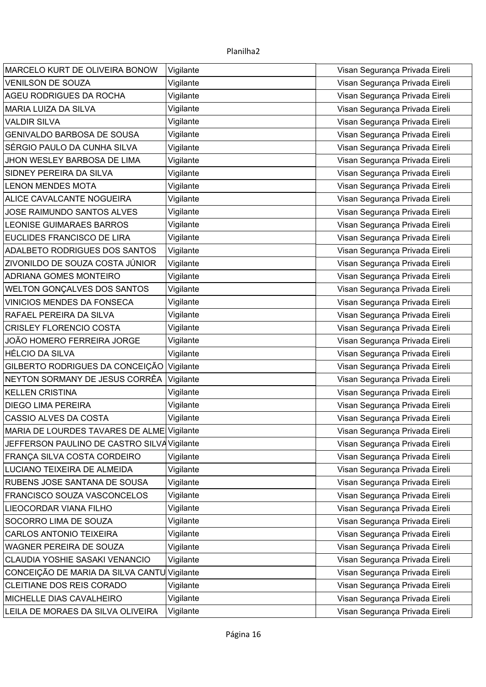| MARCELO KURT DE OLIVEIRA BONOW              | Vigilante | Visan Segurança Privada Eireli |
|---------------------------------------------|-----------|--------------------------------|
| <b>VENILSON DE SOUZA</b>                    | Vigilante | Visan Segurança Privada Eireli |
| <b>AGEU RODRIGUES DA ROCHA</b>              | Vigilante | Visan Segurança Privada Eireli |
| <b>MARIA LUIZA DA SILVA</b>                 | Vigilante | Visan Segurança Privada Eireli |
| <b>VALDIR SILVA</b>                         | Vigilante | Visan Segurança Privada Eireli |
| <b>GENIVALDO BARBOSA DE SOUSA</b>           | Vigilante | Visan Segurança Privada Eireli |
| SÉRGIO PAULO DA CUNHA SILVA                 | Vigilante | Visan Segurança Privada Eireli |
| JHON WESLEY BARBOSA DE LIMA                 | Vigilante | Visan Segurança Privada Eireli |
| SIDNEY PEREIRA DA SILVA                     | Vigilante | Visan Segurança Privada Eireli |
| <b>LENON MENDES MOTA</b>                    | Vigilante | Visan Segurança Privada Eireli |
| ALICE CAVALCANTE NOGUEIRA                   | Vigilante | Visan Segurança Privada Eireli |
| JOSE RAIMUNDO SANTOS ALVES                  | Vigilante | Visan Segurança Privada Eireli |
| <b>LEONISE GUIMARAES BARROS</b>             | Vigilante | Visan Segurança Privada Eireli |
| EUCLIDES FRANCISCO DE LIRA                  | Vigilante | Visan Segurança Privada Eireli |
| ADALBETO RODRIGUES DOS SANTOS               | Vigilante | Visan Segurança Privada Eireli |
| ZIVONILDO DE SOUZA COSTA JÚNIOR             | Vigilante | Visan Segurança Privada Eireli |
| <b>ADRIANA GOMES MONTEIRO</b>               | Vigilante | Visan Segurança Privada Eireli |
| WELTON GONÇALVES DOS SANTOS                 | Vigilante | Visan Segurança Privada Eireli |
| <b>VINICIOS MENDES DA FONSECA</b>           | Vigilante | Visan Segurança Privada Eireli |
| RAFAEL PEREIRA DA SILVA                     | Vigilante | Visan Segurança Privada Eireli |
| <b>CRISLEY FLORENCIO COSTA</b>              | Vigilante | Visan Segurança Privada Eireli |
| JOÃO HOMERO FERREIRA JORGE                  | Vigilante | Visan Segurança Privada Eireli |
| HÉLCIO DA SILVA                             | Vigilante | Visan Segurança Privada Eireli |
| GILBERTO RODRIGUES DA CONCEIÇÃO             | Vigilante | Visan Segurança Privada Eireli |
| NEYTON SORMANY DE JESUS CORRÊA              | Vigilante | Visan Segurança Privada Eireli |
| <b>KELLEN CRISTINA</b>                      | Vigilante | Visan Segurança Privada Eireli |
| <b>DIEGO LIMA PEREIRA</b>                   | Vigilante | Visan Segurança Privada Eireli |
| CASSIO ALVES DA COSTA                       | Vigilante | Visan Segurança Privada Eireli |
| MARIA DE LOURDES TAVARES DE ALME Vigilante  |           | Visan Segurança Privada Eireli |
| JEFFERSON PAULINO DE CASTRO SILVA Vigilante |           | Visan Segurança Privada Eireli |
| FRANÇA SILVA COSTA CORDEIRO                 | Vigilante | Visan Segurança Privada Eireli |
| LUCIANO TEIXEIRA DE ALMEIDA                 | Vigilante | Visan Segurança Privada Eireli |
| RUBENS JOSE SANTANA DE SOUSA                | Vigilante | Visan Segurança Privada Eireli |
| FRANCISCO SOUZA VASCONCELOS                 | Vigilante | Visan Segurança Privada Eireli |
| LIEOCORDAR VIANA FILHO                      | Vigilante | Visan Segurança Privada Eireli |
| SOCORRO LIMA DE SOUZA                       | Vigilante | Visan Segurança Privada Eireli |
| <b>CARLOS ANTONIO TEIXEIRA</b>              | Vigilante | Visan Segurança Privada Eireli |
| WAGNER PEREIRA DE SOUZA                     | Vigilante | Visan Segurança Privada Eireli |
| CLAUDIA YOSHIE SASAKI VENANCIO              | Vigilante | Visan Segurança Privada Eireli |
| CONCEIÇÃO DE MARIA DA SILVA CANTU           | Vigilante | Visan Segurança Privada Eireli |
| CLEITIANE DOS REIS CORADO                   | Vigilante | Visan Segurança Privada Eireli |
| MICHELLE DIAS CAVALHEIRO                    | Vigilante | Visan Segurança Privada Eireli |
| LEILA DE MORAES DA SILVA OLIVEIRA           | Vigilante | Visan Segurança Privada Eireli |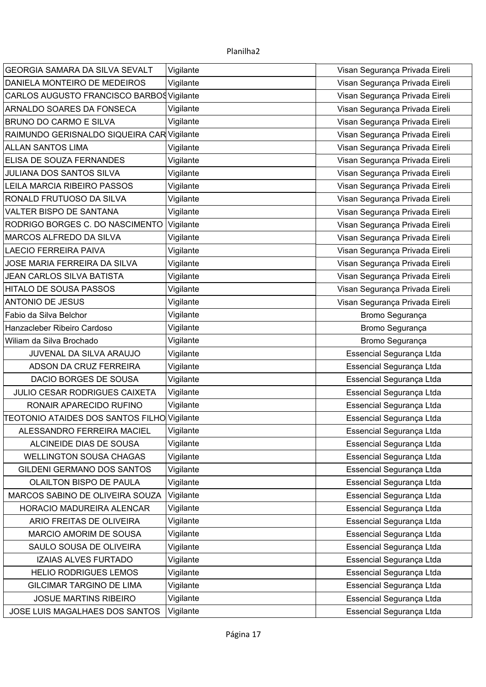| GEORGIA SAMARA DA SILVA SEVALT              | Vigilante | Visan Segurança Privada Eireli |
|---------------------------------------------|-----------|--------------------------------|
| DANIELA MONTEIRO DE MEDEIROS                | Vigilante | Visan Segurança Privada Eireli |
| CARLOS AUGUSTO FRANCISCO BARBOS Vigilante   |           | Visan Segurança Privada Eireli |
| ARNALDO SOARES DA FONSECA                   | Vigilante | Visan Segurança Privada Eireli |
| <b>BRUNO DO CARMO E SILVA</b>               | Vigilante | Visan Segurança Privada Eireli |
| RAIMUNDO GERISNALDO SIQUEIRA CARVigilante   |           | Visan Segurança Privada Eireli |
| <b>ALLAN SANTOS LIMA</b>                    | Vigilante | Visan Segurança Privada Eireli |
| ELISA DE SOUZA FERNANDES                    | Vigilante | Visan Segurança Privada Eireli |
| JULIANA DOS SANTOS SILVA                    | Vigilante | Visan Segurança Privada Eireli |
| LEILA MARCIA RIBEIRO PASSOS                 | Vigilante | Visan Segurança Privada Eireli |
| RONALD FRUTUOSO DA SILVA                    | Vigilante | Visan Segurança Privada Eireli |
| VALTER BISPO DE SANTANA                     | Vigilante | Visan Segurança Privada Eireli |
| RODRIGO BORGES C. DO NASCIMENTO Vigilante   |           | Visan Segurança Privada Eireli |
| MARCOS ALFREDO DA SILVA                     | Vigilante | Visan Segurança Privada Eireli |
| <b>LAECIO FERREIRA PAIVA</b>                | Vigilante | Visan Segurança Privada Eireli |
| JOSE MARIA FERREIRA DA SILVA                | Vigilante | Visan Segurança Privada Eireli |
| <b>JEAN CARLOS SILVA BATISTA</b>            | Vigilante | Visan Segurança Privada Eireli |
| <b>HITALO DE SOUSA PASSOS</b>               | Vigilante | Visan Segurança Privada Eireli |
| <b>ANTONIO DE JESUS</b>                     | Vigilante | Visan Segurança Privada Eireli |
| Fabio da Silva Belchor                      | Vigilante | Bromo Segurança                |
| Hanzacleber Ribeiro Cardoso                 | Vigilante | Bromo Segurança                |
| Wiliam da Silva Brochado                    | Vigilante | Bromo Segurança                |
| JUVENAL DA SILVA ARAUJO                     | Vigilante | Essencial Segurança Ltda       |
| ADSON DA CRUZ FERREIRA                      | Vigilante | Essencial Segurança Ltda       |
| DACIO BORGES DE SOUSA                       | Vigilante | Essencial Segurança Ltda       |
| JULIO CESAR RODRIGUES CAIXETA               | Vigilante | Essencial Segurança Ltda       |
| RONAIR APARECIDO RUFINO                     | Vigilante | Essencial Segurança Ltda       |
| TEOTONIO ATAIDES DOS SANTOS FILHO Vigilante |           | Essencial Segurança Ltda       |
| ALESSANDRO FERREIRA MACIEL                  | Vigilante | Essencial Segurança Ltda       |
| ALCINEIDE DIAS DE SOUSA                     | Vigilante | Essencial Segurança Ltda       |
| <b>WELLINGTON SOUSA CHAGAS</b>              | Vigilante | Essencial Segurança Ltda       |
| <b>GILDENI GERMANO DOS SANTOS</b>           | Vigilante | Essencial Segurança Ltda       |
| OLAILTON BISPO DE PAULA                     | Vigilante | Essencial Segurança Ltda       |
| MARCOS SABINO DE OLIVEIRA SOUZA             | Vigilante | Essencial Segurança Ltda       |
| HORACIO MADUREIRA ALENCAR                   | Vigilante | Essencial Segurança Ltda       |
| ARIO FREITAS DE OLIVEIRA                    | Vigilante | Essencial Segurança Ltda       |
| <b>MARCIO AMORIM DE SOUSA</b>               | Vigilante | Essencial Segurança Ltda       |
| SAULO SOUSA DE OLIVEIRA                     | Vigilante | Essencial Segurança Ltda       |
| <b>IZAIAS ALVES FURTADO</b>                 | Vigilante | Essencial Segurança Ltda       |
| <b>HELIO RODRIGUES LEMOS</b>                | Vigilante | Essencial Segurança Ltda       |
| <b>GILCIMAR TARGINO DE LIMA</b>             | Vigilante | Essencial Segurança Ltda       |
| <b>JOSUE MARTINS RIBEIRO</b>                | Vigilante | Essencial Segurança Ltda       |
| JOSE LUIS MAGALHAES DOS SANTOS              | Vigilante | Essencial Segurança Ltda       |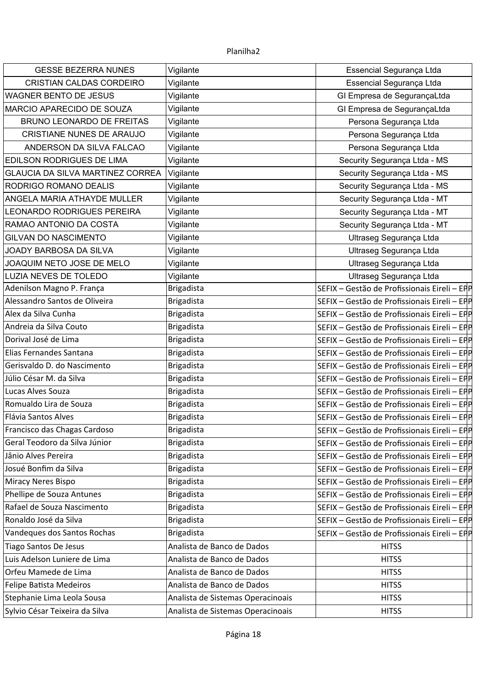| <b>GESSE BEZERRA NUNES</b>              | Vigilante                         | Essencial Segurança Ltda                     |
|-----------------------------------------|-----------------------------------|----------------------------------------------|
| CRISTIAN CALDAS CORDEIRO                | Vigilante                         | Essencial Segurança Ltda                     |
| WAGNER BENTO DE JESUS                   | Vigilante                         | GI Empresa de SegurançaLtda                  |
| MARCIO APARECIDO DE SOUZA               | Vigilante                         | GI Empresa de SegurançaLtda                  |
| <b>BRUNO LEONARDO DE FREITAS</b>        | Vigilante                         | Persona Segurança Ltda                       |
| <b>CRISTIANE NUNES DE ARAUJO</b>        | Vigilante                         | Persona Segurança Ltda                       |
| ANDERSON DA SILVA FALCAO                | Vigilante                         | Persona Segurança Ltda                       |
| EDILSON RODRIGUES DE LIMA               | Vigilante                         | Security Segurança Ltda - MS                 |
| <b>GLAUCIA DA SILVA MARTINEZ CORREA</b> | Vigilante                         | Security Segurança Ltda - MS                 |
| RODRIGO ROMANO DEALIS                   | Vigilante                         | Security Segurança Ltda - MS                 |
| ANGELA MARIA ATHAYDE MULLER             | Vigilante                         | Security Segurança Ltda - MT                 |
| LEONARDO RODRIGUES PEREIRA              | Vigilante                         | Security Segurança Ltda - MT                 |
| RAMAO ANTONIO DA COSTA                  | Vigilante                         | Security Segurança Ltda - MT                 |
| <b>GILVAN DO NASCIMENTO</b>             | Vigilante                         | Ultraseg Segurança Ltda                      |
| JOADY BARBOSA DA SILVA                  | Vigilante                         | Ultraseg Segurança Ltda                      |
| JOAQUIM NETO JOSE DE MELO               | Vigilante                         | Ultraseg Segurança Ltda                      |
| LUZIA NEVES DE TOLEDO                   | Vigilante                         | Ultraseg Segurança Ltda                      |
| Adenilson Magno P. França               | <b>Brigadista</b>                 | SEFIX - Gestão de Profissionais Eireli - EPP |
| Alessandro Santos de Oliveira           | <b>Brigadista</b>                 | SEFIX - Gestão de Profissionais Eireli - EPP |
| Alex da Silva Cunha                     | <b>Brigadista</b>                 | SEFIX - Gestão de Profissionais Eireli - EPP |
| Andreia da Silva Couto                  | <b>Brigadista</b>                 | SEFIX - Gestão de Profissionais Eireli - EPP |
| Dorival José de Lima                    | <b>Brigadista</b>                 | SEFIX - Gestão de Profissionais Eireli - EPP |
| Elias Fernandes Santana                 | <b>Brigadista</b>                 | SEFIX - Gestão de Profissionais Eireli - EPP |
| Gerisvaldo D. do Nascimento             | <b>Brigadista</b>                 | SEFIX - Gestão de Profissionais Eireli - EPP |
| Júlio César M. da Silva                 | <b>Brigadista</b>                 | SEFIX - Gestão de Profissionais Eireli - EPP |
| Lucas Alves Souza                       | <b>Brigadista</b>                 | SEFIX - Gestão de Profissionais Eireli - EPP |
| Romualdo Lira de Souza                  | <b>Brigadista</b>                 | SEFIX - Gestão de Profissionais Eireli - EPP |
| Flávia Santos Alves                     | <b>Brigadista</b>                 | SEFIX - Gestão de Profissionais Eireli - EPP |
| Francisco das Chagas Cardoso            | <b>Brigadista</b>                 | SEFIX - Gestão de Profissionais Eireli - EPP |
| Geral Teodoro da Silva Júnior           | <b>Brigadista</b>                 | SEFIX - Gestão de Profissionais Eireli - EPP |
| Jânio Alves Pereira                     | <b>Brigadista</b>                 | SEFIX - Gestão de Profissionais Eireli - EPP |
| Josué Bonfim da Silva                   | <b>Brigadista</b>                 | SEFIX - Gestão de Profissionais Eireli - EPP |
| Miracy Neres Bispo                      | <b>Brigadista</b>                 | SEFIX - Gestão de Profissionais Eireli - EPP |
| Phellipe de Souza Antunes               | <b>Brigadista</b>                 | SEFIX - Gestão de Profissionais Eireli - EPP |
| Rafael de Souza Nascimento              | <b>Brigadista</b>                 | SEFIX - Gestão de Profissionais Eireli - EPP |
| Ronaldo José da Silva                   | <b>Brigadista</b>                 | SEFIX - Gestão de Profissionais Eireli - EPP |
| Vandeques dos Santos Rochas             | <b>Brigadista</b>                 | SEFIX - Gestão de Profissionais Eireli - EPP |
| <b>Tiago Santos De Jesus</b>            | Analista de Banco de Dados        | <b>HITSS</b>                                 |
| Luis Adelson Luniere de Lima            | Analista de Banco de Dados        | <b>HITSS</b>                                 |
| Orfeu Mamede de Lima                    | Analista de Banco de Dados        | <b>HITSS</b>                                 |
| Felipe Batista Medeiros                 | Analista de Banco de Dados        | <b>HITSS</b>                                 |
| Stephanie Lima Leola Sousa              | Analista de Sistemas Operacinoais | <b>HITSS</b>                                 |
| Sylvio César Teixeira da Silva          | Analista de Sistemas Operacinoais | <b>HITSS</b>                                 |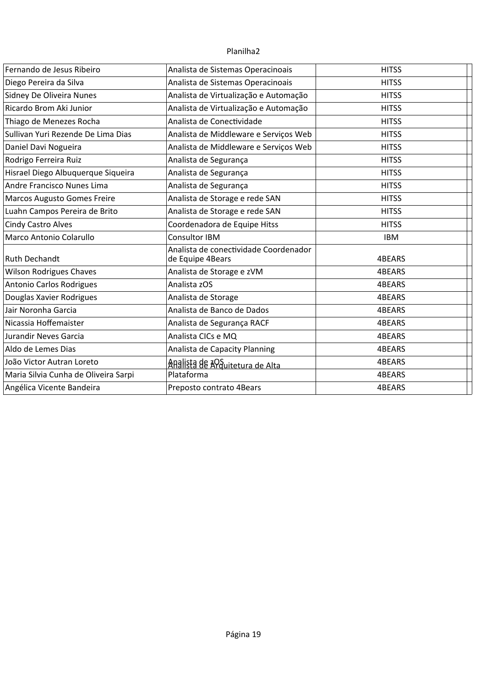| Fernando de Jesus Ribeiro            | Analista de Sistemas Operacinoais                         | <b>HITSS</b> |
|--------------------------------------|-----------------------------------------------------------|--------------|
| Diego Pereira da Silva               | Analista de Sistemas Operacinoais                         | <b>HITSS</b> |
| Sidney De Oliveira Nunes             | Analista de Virtualização e Automação                     | <b>HITSS</b> |
| Ricardo Brom Aki Junior              | Analista de Virtualização e Automação                     | <b>HITSS</b> |
| Thiago de Menezes Rocha              | Analista de Conectividade                                 | <b>HITSS</b> |
| Sullivan Yuri Rezende De Lima Dias   | Analista de Middleware e Serviços Web                     | <b>HITSS</b> |
| Daniel Davi Nogueira                 | Analista de Middleware e Serviços Web                     | <b>HITSS</b> |
| Rodrigo Ferreira Ruiz                | Analista de Segurança                                     | <b>HITSS</b> |
| Hisrael Diego Albuquerque Siqueira   | Analista de Segurança                                     | <b>HITSS</b> |
| Andre Francisco Nunes Lima           | Analista de Segurança                                     | <b>HITSS</b> |
| <b>Marcos Augusto Gomes Freire</b>   | Analista de Storage e rede SAN                            | <b>HITSS</b> |
| Luahn Campos Pereira de Brito        | Analista de Storage e rede SAN                            | <b>HITSS</b> |
| <b>Cindy Castro Alves</b>            | Coordenadora de Equipe Hitss                              | <b>HITSS</b> |
| Marco Antonio Colarullo              | Consultor IBM                                             | <b>IBM</b>   |
| <b>Ruth Dechandt</b>                 | Analista de conectividade Coordenador<br>de Equipe 4Bears | 4BEARS       |
| <b>Wilson Rodrigues Chaves</b>       | Analista de Storage e zVM                                 | 4BEARS       |
| Antonio Carlos Rodrigues             | Analista zOS                                              | 4BEARS       |
| Douglas Xavier Rodrigues             | Analista de Storage                                       | 4BEARS       |
| Jair Noronha Garcia                  | Analista de Banco de Dados                                | 4BEARS       |
| Nicassia Hoffemaister                | Analista de Segurança RACF                                | 4BEARS       |
| Jurandir Neves Garcia                | Analista CICs e MQ                                        | 4BEARS       |
| Aldo de Lemes Dias                   | Analista de Capacity Planning                             | 4BEARS       |
| João Victor Autran Loreto            | ARalista de Anguitetura de Alta                           | 4BEARS       |
| Maria Silvia Cunha de Oliveira Sarpi | Plataforma                                                | 4BEARS       |
| Angélica Vicente Bandeira            | Preposto contrato 4Bears                                  | 4BEARS       |